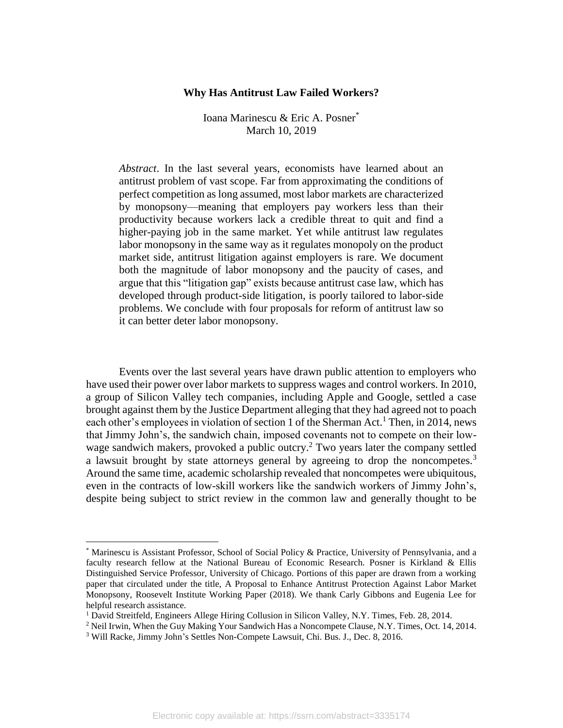### **Why Has Antitrust Law Failed Workers?**

Ioana Marinescu & Eric A. Posner\* March 10, 2019

*Abstract*. In the last several years, economists have learned about an antitrust problem of vast scope. Far from approximating the conditions of perfect competition as long assumed, most labor markets are characterized by monopsony—meaning that employers pay workers less than their productivity because workers lack a credible threat to quit and find a higher-paying job in the same market. Yet while antitrust law regulates labor monopsony in the same way as it regulates monopoly on the product market side, antitrust litigation against employers is rare. We document both the magnitude of labor monopsony and the paucity of cases, and argue that this "litigation gap" exists because antitrust case law, which has developed through product-side litigation, is poorly tailored to labor-side problems. We conclude with four proposals for reform of antitrust law so it can better deter labor monopsony.

Events over the last several years have drawn public attention to employers who have used their power over labor markets to suppress wages and control workers. In 2010, a group of Silicon Valley tech companies, including Apple and Google, settled a case brought against them by the Justice Department alleging that they had agreed not to poach each other's employees in violation of section 1 of the Sherman Act.<sup>1</sup> Then, in 2014, news that Jimmy John's, the sandwich chain, imposed covenants not to compete on their lowwage sandwich makers, provoked a public outcry. <sup>2</sup> Two years later the company settled a lawsuit brought by state attorneys general by agreeing to drop the noncompetes.<sup>3</sup> Around the same time, academic scholarship revealed that noncompetes were ubiquitous, even in the contracts of low-skill workers like the sandwich workers of Jimmy John's, despite being subject to strict review in the common law and generally thought to be

<sup>\*</sup> Marinescu is Assistant Professor, School of Social Policy & Practice, University of Pennsylvania, and a faculty research fellow at the National Bureau of Economic Research. Posner is Kirkland & Ellis Distinguished Service Professor, University of Chicago. Portions of this paper are drawn from a working paper that circulated under the title, A Proposal to Enhance Antitrust Protection Against Labor Market Monopsony, Roosevelt Institute Working Paper (2018). We thank Carly Gibbons and Eugenia Lee for helpful research assistance.

<sup>1</sup> David Streitfeld, Engineers Allege Hiring Collusion in Silicon Valley, N.Y. Times, Feb. 28, 2014.

<sup>2</sup> Neil Irwin, When the Guy Making Your Sandwich Has a Noncompete Clause, N.Y. Times, Oct. 14, 2014.

<sup>3</sup> Will Racke, Jimmy John's Settles Non-Compete Lawsuit, Chi. Bus. J., Dec. 8, 2016.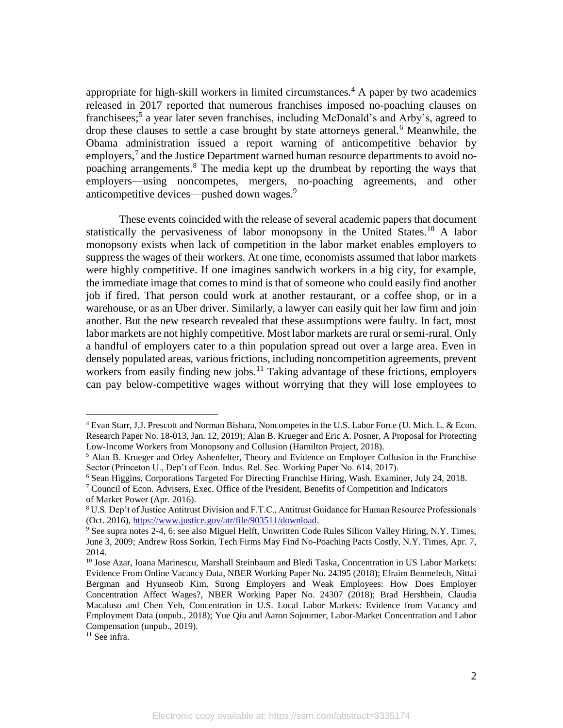appropriate for high-skill workers in limited circumstances.<sup>4</sup> A paper by two academics released in 2017 reported that numerous franchises imposed no-poaching clauses on franchisees;<sup>5</sup> a year later seven franchises, including McDonald's and Arby's, agreed to drop these clauses to settle a case brought by state attorneys general.<sup>6</sup> Meanwhile, the Obama administration issued a report warning of anticompetitive behavior by employers,<sup>7</sup> and the Justice Department warned human resource departments to avoid nopoaching arrangements.<sup>8</sup> The media kept up the drumbeat by reporting the ways that employers—using noncompetes, mergers, no-poaching agreements, and other anticompetitive devices—pushed down wages.<sup>9</sup>

These events coincided with the release of several academic papers that document statistically the pervasiveness of labor monopsony in the United States.<sup>10</sup> A labor monopsony exists when lack of competition in the labor market enables employers to suppress the wages of their workers. At one time, economists assumed that labor markets were highly competitive. If one imagines sandwich workers in a big city, for example, the immediate image that comes to mind is that of someone who could easily find another job if fired. That person could work at another restaurant, or a coffee shop, or in a warehouse, or as an Uber driver. Similarly, a lawyer can easily quit her law firm and join another. But the new research revealed that these assumptions were faulty. In fact, most labor markets are not highly competitive. Most labor markets are rural or semi-rural. Only a handful of employers cater to a thin population spread out over a large area. Even in densely populated areas, various frictions, including noncompetition agreements, prevent workers from easily finding new jobs.<sup>11</sup> Taking advantage of these frictions, employers can pay below-competitive wages without worrying that they will lose employees to

<sup>4</sup> Evan Starr, J.J. Prescott and Norman Bishara, Noncompetes in the U.S. Labor Force (U. Mich. L. & Econ. Research Paper No. 18-013, Jan. 12, 2019); Alan B. Krueger and Eric A. Posner, A Proposal for Protecting Low-Income Workers from Monopsony and Collusion (Hamilton Project, 2018).

<sup>&</sup>lt;sup>5</sup> Alan B. Krueger and Orley Ashenfelter, Theory and Evidence on Employer Collusion in the Franchise Sector (Princeton U., Dep't of Econ. Indus. Rel. Sec. Working Paper No. 614, 2017).

<sup>6</sup> Sean Higgins, Corporations Targeted For Directing Franchise Hiring, Wash. Examiner, July 24, 2018.

 $7$  Council of Econ. Advisers, Exec. Office of the President, Benefits of Competition and Indicators of Market Power (Apr. 2016).

<sup>&</sup>lt;sup>8</sup> U.S. Dep't of Justice Antitrust Division and F.T.C., Antitrust Guidance for Human Resource Professionals (Oct. 2016), https://www.justice.gov/atr/file/903511/download.

<sup>9</sup> See supra notes 2-4, 6; see also Miguel Helft, Unwritten Code Rules Silicon Valley Hiring, N.Y. Times, June 3, 2009; Andrew Ross Sorkin, Tech Firms May Find No-Poaching Pacts Costly, N.Y. Times, Apr. 7, 2014.

<sup>&</sup>lt;sup>10</sup> Jose Azar, Ioana Marinescu, Marshall Steinbaum and Bledi Taska, Concentration in US Labor Markets: Evidence From Online Vacancy Data, NBER Working Paper No. 24395 (2018); Efraim Benmelech, Nittai Bergman and Hyunseob Kim, Strong Employers and Weak Employees: How Does Employer Concentration Affect Wages?, NBER Working Paper No. 24307 (2018); Brad Hershbein, Claudia Macaluso and Chen Yeh, Concentration in U.S. Local Labor Markets: Evidence from Vacancy and Employment Data (unpub., 2018); Yue Qiu and Aaron Sojourner, Labor-Market Concentration and Labor Compensation (unpub., 2019).

 $11$  See infra.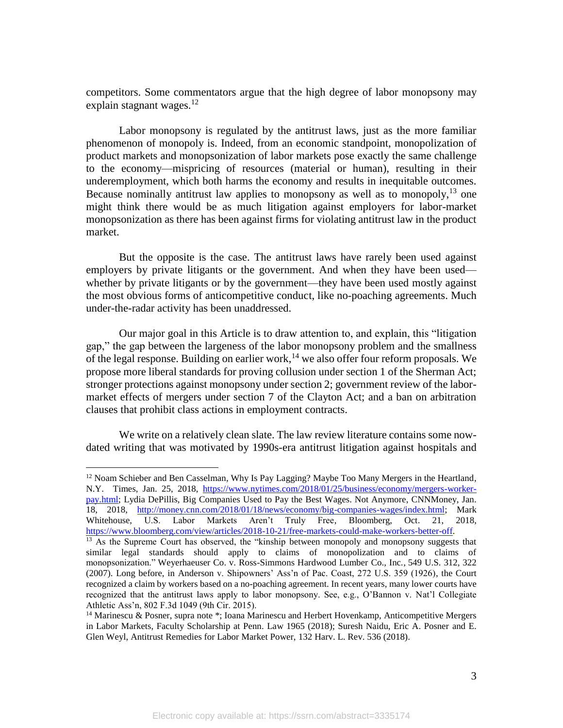competitors. Some commentators argue that the high degree of labor monopsony may explain stagnant wages. $^{12}$ 

Labor monopsony is regulated by the antitrust laws, just as the more familiar phenomenon of monopoly is. Indeed, from an economic standpoint, monopolization of product markets and monopsonization of labor markets pose exactly the same challenge to the economy—mispricing of resources (material or human), resulting in their underemployment, which both harms the economy and results in inequitable outcomes. Because nominally antitrust law applies to monopsony as well as to monopoly,  $^{13}$  one might think there would be as much litigation against employers for labor-market monopsonization as there has been against firms for violating antitrust law in the product market.

But the opposite is the case. The antitrust laws have rarely been used against employers by private litigants or the government. And when they have been used whether by private litigants or by the government—they have been used mostly against the most obvious forms of anticompetitive conduct, like no-poaching agreements. Much under-the-radar activity has been unaddressed.

Our major goal in this Article is to draw attention to, and explain, this "litigation gap," the gap between the largeness of the labor monopsony problem and the smallness of the legal response. Building on earlier work,<sup>14</sup> we also offer four reform proposals. We propose more liberal standards for proving collusion under section 1 of the Sherman Act; stronger protections against monopsony under section 2; government review of the labormarket effects of mergers under section 7 of the Clayton Act; and a ban on arbitration clauses that prohibit class actions in employment contracts.

We write on a relatively clean slate. The law review literature contains some nowdated writing that was motivated by 1990s-era antitrust litigation against hospitals and

 $\overline{a}$ 

 $12$  Noam Schieber and Ben Casselman, Why Is Pay Lagging? Maybe Too Many Mergers in the Heartland, N.Y. Times, Jan. 25, 2018, https://www.nytimes.com/2018/01/25/business/economy/mergers-workerpay.html; Lydia DePillis, Big Companies Used to Pay the Best Wages. Not Anymore, CNNMoney, Jan. 18, 2018, http://money.cnn.com/2018/01/18/news/economy/big-companies-wages/index.html; Mark Whitehouse, U.S. Labor Markets Aren't Truly Free, Bloomberg, Oct. 21, 2018, https://www.bloomberg.com/view/articles/2018-10-21/free-markets-could-make-workers-better-off.

<sup>&</sup>lt;sup>13</sup> As the Supreme Court has observed, the "kinship between monopoly and monopsony suggests that similar legal standards should apply to claims of monopolization and to claims of monopsonization." Weyerhaeuser Co. v. Ross-Simmons Hardwood Lumber Co., Inc.*,* 549 U.S. 312, 322 (2007). Long before, in Anderson v. Shipowners' Ass'n of Pac. Coast, 272 U.S. 359 (1926), the Court recognized a claim by workers based on a no-poaching agreement. In recent years, many lower courts have recognized that the antitrust laws apply to labor monopsony. See, e.g., O'Bannon v. Nat'l Collegiate Athletic Ass'n, 802 F.3d 1049 (9th Cir. 2015).

<sup>&</sup>lt;sup>14</sup> Marinescu & Posner, supra note  $*$ ; Ioana Marinescu and Herbert Hovenkamp, Anticompetitive Mergers in Labor Markets, Faculty Scholarship at Penn. Law 1965 (2018); Suresh Naidu, Eric A. Posner and E. Glen Weyl, Antitrust Remedies for Labor Market Power, 132 Harv. L. Rev. 536 (2018).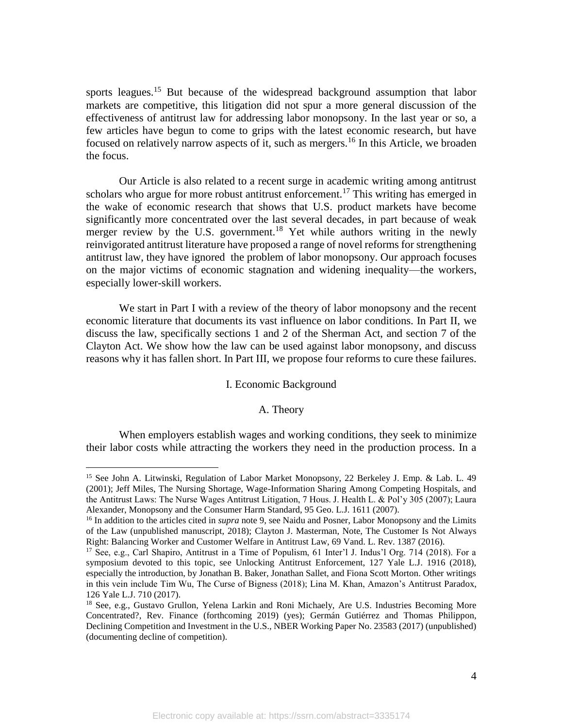sports leagues.<sup>15</sup> But because of the widespread background assumption that labor markets are competitive, this litigation did not spur a more general discussion of the effectiveness of antitrust law for addressing labor monopsony. In the last year or so, a few articles have begun to come to grips with the latest economic research, but have focused on relatively narrow aspects of it, such as mergers.<sup>16</sup> In this Article, we broaden the focus.

Our Article is also related to a recent surge in academic writing among antitrust scholars who argue for more robust antitrust enforcement.<sup>17</sup> This writing has emerged in the wake of economic research that shows that U.S. product markets have become significantly more concentrated over the last several decades, in part because of weak merger review by the U.S. government.<sup>18</sup> Yet while authors writing in the newly reinvigorated antitrust literature have proposed a range of novel reforms for strengthening antitrust law, they have ignored the problem of labor monopsony. Our approach focuses on the major victims of economic stagnation and widening inequality—the workers, especially lower-skill workers.

We start in Part I with a review of the theory of labor monopsony and the recent economic literature that documents its vast influence on labor conditions. In Part II, we discuss the law, specifically sections 1 and 2 of the Sherman Act, and section 7 of the Clayton Act. We show how the law can be used against labor monopsony, and discuss reasons why it has fallen short. In Part III, we propose four reforms to cure these failures.

### I. Economic Background

### A. Theory

When employers establish wages and working conditions, they seek to minimize their labor costs while attracting the workers they need in the production process. In a

<sup>&</sup>lt;sup>15</sup> See John A. Litwinski, Regulation of Labor Market Monopsony, 22 Berkeley J. Emp. & Lab. L. 49 (2001); Jeff Miles, The Nursing Shortage, Wage-Information Sharing Among Competing Hospitals, and the Antitrust Laws: The Nurse Wages Antitrust Litigation, 7 Hous. J. Health L. & Pol'y 305 (2007); Laura Alexander, Monopsony and the Consumer Harm Standard, 95 Geo. L.J. 1611 (2007).

<sup>16</sup> In addition to the articles cited in *supra* note 9, see Naidu and Posner, Labor Monopsony and the Limits of the Law (unpublished manuscript, 2018); Clayton J. Masterman, Note, The Customer Is Not Always Right: Balancing Worker and Customer Welfare in Antitrust Law, 69 Vand. L. Rev. 1387 (2016).

<sup>&</sup>lt;sup>17</sup> See, e.g., Carl Shapiro, Antitrust in a Time of Populism, 61 Inter'l J. Indus'l Org. 714 (2018). For a symposium devoted to this topic, see Unlocking Antitrust Enforcement, 127 Yale L.J. 1916 (2018), especially the introduction, by Jonathan B. Baker, Jonathan Sallet, and Fiona Scott Morton. Other writings in this vein include Tim Wu, The Curse of Bigness (2018); Lina M. Khan, Amazon's Antitrust Paradox, 126 Yale L.J. 710 (2017).

<sup>&</sup>lt;sup>18</sup> See, e.g., Gustavo Grullon, Yelena Larkin and Roni Michaely, Are U.S. Industries Becoming More Concentrated?, Rev. Finance (forthcoming 2019) (yes); Germán Gutiérrez and Thomas Philippon, Declining Competition and Investment in the U.S., NBER Working Paper No. 23583 (2017) (unpublished) (documenting decline of competition).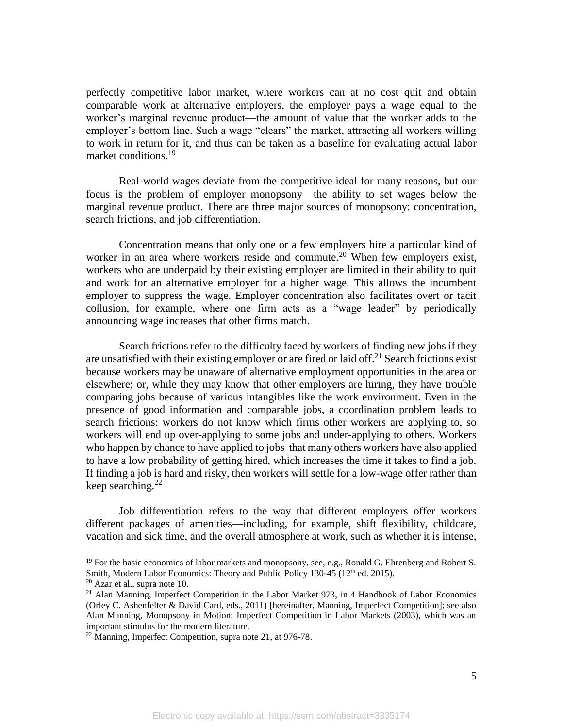perfectly competitive labor market, where workers can at no cost quit and obtain comparable work at alternative employers, the employer pays a wage equal to the worker's marginal revenue product—the amount of value that the worker adds to the employer's bottom line. Such a wage "clears" the market, attracting all workers willing to work in return for it, and thus can be taken as a baseline for evaluating actual labor market conditions.<sup>19</sup>

Real-world wages deviate from the competitive ideal for many reasons, but our focus is the problem of employer monopsony—the ability to set wages below the marginal revenue product. There are three major sources of monopsony: concentration, search frictions, and job differentiation.

Concentration means that only one or a few employers hire a particular kind of worker in an area where workers reside and commute.<sup>20</sup> When few employers exist, workers who are underpaid by their existing employer are limited in their ability to quit and work for an alternative employer for a higher wage. This allows the incumbent employer to suppress the wage. Employer concentration also facilitates overt or tacit collusion, for example, where one firm acts as a "wage leader" by periodically announcing wage increases that other firms match.

Search frictions refer to the difficulty faced by workers of finding new jobs if they are unsatisfied with their existing employer or are fired or laid off.<sup>21</sup> Search frictions exist because workers may be unaware of alternative employment opportunities in the area or elsewhere; or, while they may know that other employers are hiring, they have trouble comparing jobs because of various intangibles like the work environment. Even in the presence of good information and comparable jobs, a coordination problem leads to search frictions: workers do not know which firms other workers are applying to, so workers will end up over-applying to some jobs and under-applying to others. Workers who happen by chance to have applied to jobs that many others workers have also applied to have a low probability of getting hired, which increases the time it takes to find a job. If finding a job is hard and risky, then workers will settle for a low-wage offer rather than keep searching. $^{22}$ 

Job differentiation refers to the way that different employers offer workers different packages of amenities—including, for example, shift flexibility, childcare, vacation and sick time, and the overall atmosphere at work, such as whether it is intense,

 $19$  For the basic economics of labor markets and monopsony, see, e.g., Ronald G. Ehrenberg and Robert S. Smith, Modern Labor Economics: Theory and Public Policy 130-45 (12<sup>th</sup> ed. 2015).

 $20$  Azar et al., supra note 10.

 $21$  Alan Manning, Imperfect Competition in the Labor Market 973, in 4 Handbook of Labor Economics (Orley C. Ashenfelter & David Card, eds., 2011) [hereinafter, Manning, Imperfect Competition]; see also Alan Manning, Monopsony in Motion: Imperfect Competition in Labor Markets (2003), which was an important stimulus for the modern literature.

<sup>&</sup>lt;sup>22</sup> Manning, Imperfect Competition, supra note 21, at 976-78.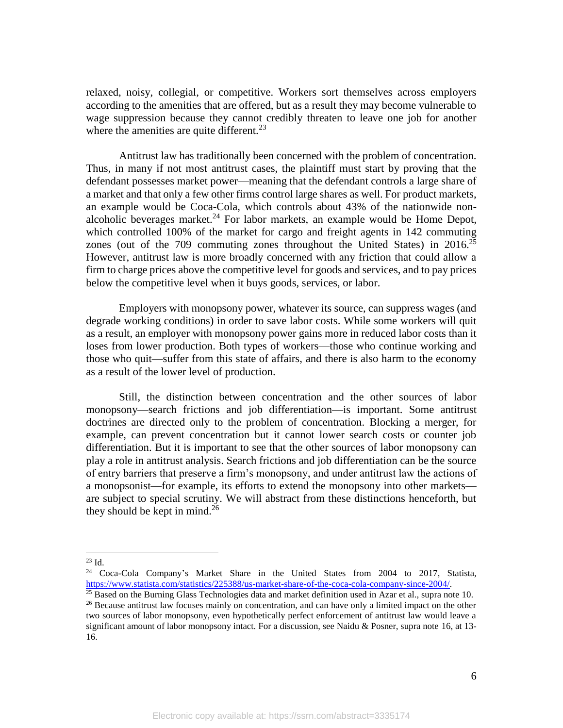relaxed, noisy, collegial, or competitive. Workers sort themselves across employers according to the amenities that are offered, but as a result they may become vulnerable to wage suppression because they cannot credibly threaten to leave one job for another where the amenities are quite different.<sup>23</sup>

Antitrust law has traditionally been concerned with the problem of concentration. Thus, in many if not most antitrust cases, the plaintiff must start by proving that the defendant possesses market power—meaning that the defendant controls a large share of a market and that only a few other firms control large shares as well. For product markets, an example would be Coca-Cola, which controls about 43% of the nationwide nonalcoholic beverages market.<sup>24</sup> For labor markets, an example would be Home Depot, which controlled 100% of the market for cargo and freight agents in 142 commuting zones (out of the 709 commuting zones throughout the United States) in 2016.<sup>25</sup> However, antitrust law is more broadly concerned with any friction that could allow a firm to charge prices above the competitive level for goods and services, and to pay prices below the competitive level when it buys goods, services, or labor.

Employers with monopsony power, whatever its source, can suppress wages (and degrade working conditions) in order to save labor costs. While some workers will quit as a result, an employer with monopsony power gains more in reduced labor costs than it loses from lower production. Both types of workers—those who continue working and those who quit—suffer from this state of affairs, and there is also harm to the economy as a result of the lower level of production.

Still, the distinction between concentration and the other sources of labor monopsony—search frictions and job differentiation—is important. Some antitrust doctrines are directed only to the problem of concentration. Blocking a merger, for example, can prevent concentration but it cannot lower search costs or counter job differentiation. But it is important to see that the other sources of labor monopsony can play a role in antitrust analysis. Search frictions and job differentiation can be the source of entry barriers that preserve a firm's monopsony, and under antitrust law the actions of a monopsonist—for example, its efforts to extend the monopsony into other markets are subject to special scrutiny. We will abstract from these distinctions henceforth, but they should be kept in mind.<sup>26</sup>

 $\overline{a}$  $^{23}$  Id.

<sup>24</sup> Coca-Cola Company's Market Share in the United States from 2004 to 2017, Statista, https://www.statista.com/statistics/225388/us-market-share-of-the-coca-cola-company-since-2004/.

 $25$  Based on the Burning Glass Technologies data and market definition used in Azar et al., supra note 10. <sup>26</sup> Because antitrust law focuses mainly on concentration, and can have only a limited impact on the other two sources of labor monopsony, even hypothetically perfect enforcement of antitrust law would leave a significant amount of labor monopsony intact. For a discussion, see Naidu & Posner, supra note 16, at 13- 16.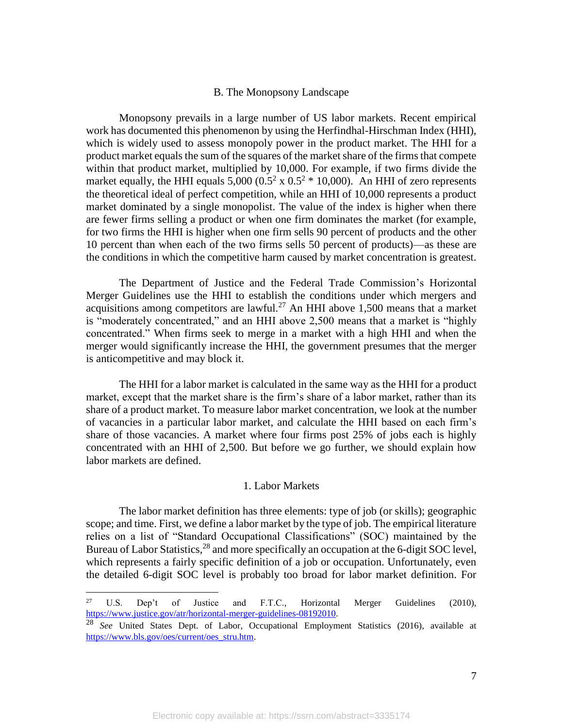#### B. The Monopsony Landscape

Monopsony prevails in a large number of US labor markets. Recent empirical work has documented this phenomenon by using the Herfindhal-Hirschman Index (HHI), which is widely used to assess monopoly power in the product market. The HHI for a product market equals the sum of the squares of the market share of the firms that compete within that product market, multiplied by 10,000. For example, if two firms divide the market equally, the HHI equals  $5,000 (0.5^2 \times 0.5^2 \times 10,000)$ . An HHI of zero represents the theoretical ideal of perfect competition, while an HHI of 10,000 represents a product market dominated by a single monopolist. The value of the index is higher when there are fewer firms selling a product or when one firm dominates the market (for example, for two firms the HHI is higher when one firm sells 90 percent of products and the other 10 percent than when each of the two firms sells 50 percent of products)—as these are the conditions in which the competitive harm caused by market concentration is greatest.

The Department of Justice and the Federal Trade Commission's Horizontal Merger Guidelines use the HHI to establish the conditions under which mergers and acquisitions among competitors are lawful.<sup>27</sup> An HHI above 1,500 means that a market is "moderately concentrated," and an HHI above 2,500 means that a market is "highly concentrated." When firms seek to merge in a market with a high HHI and when the merger would significantly increase the HHI, the government presumes that the merger is anticompetitive and may block it.

The HHI for a labor market is calculated in the same way as the HHI for a product market, except that the market share is the firm's share of a labor market, rather than its share of a product market. To measure labor market concentration, we look at the number of vacancies in a particular labor market, and calculate the HHI based on each firm's share of those vacancies. A market where four firms post 25% of jobs each is highly concentrated with an HHI of 2,500. But before we go further, we should explain how labor markets are defined.

### 1. Labor Markets

The labor market definition has three elements: type of job (or skills); geographic scope; and time. First, we define a labor market by the type of job. The empirical literature relies on a list of "Standard Occupational Classifications" (SOC) maintained by the Bureau of Labor Statistics,<sup>28</sup> and more specifically an occupation at the 6-digit SOC level, which represents a fairly specific definition of a job or occupation. Unfortunately, even the detailed 6-digit SOC level is probably too broad for labor market definition. For

<sup>27</sup> <sup>27</sup> U.S. Dep't of Justice and F.T.C., Horizontal Merger Guidelines (2010), https://www.justice.gov/atr/horizontal-merger-guidelines-08192010.

<sup>28</sup> *See* United States Dept. of Labor, Occupational Employment Statistics (2016), available at https://www.bls.gov/oes/current/oes\_stru.htm.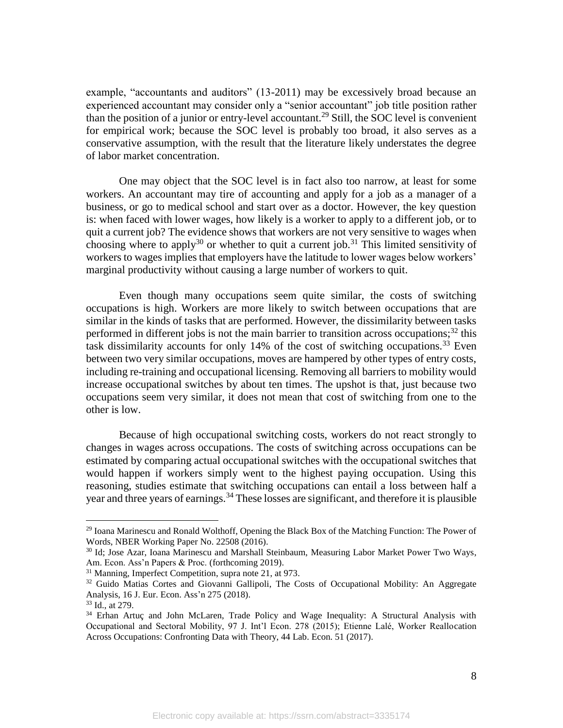example, "accountants and auditors" (13-2011) may be excessively broad because an experienced accountant may consider only a "senior accountant" job title position rather than the position of a junior or entry-level accountant.<sup>29</sup> Still, the SOC level is convenient for empirical work; because the SOC level is probably too broad, it also serves as a conservative assumption, with the result that the literature likely understates the degree of labor market concentration.

One may object that the SOC level is in fact also too narrow, at least for some workers. An accountant may tire of accounting and apply for a job as a manager of a business, or go to medical school and start over as a doctor. However, the key question is: when faced with lower wages, how likely is a worker to apply to a different job, or to quit a current job? The evidence shows that workers are not very sensitive to wages when choosing where to apply<sup>30</sup> or whether to quit a current job.<sup>31</sup> This limited sensitivity of workers to wages implies that employers have the latitude to lower wages below workers' marginal productivity without causing a large number of workers to quit.

Even though many occupations seem quite similar, the costs of switching occupations is high. Workers are more likely to switch between occupations that are similar in the kinds of tasks that are performed. However, the dissimilarity between tasks performed in different jobs is not the main barrier to transition across occupations;<sup>32</sup> this task dissimilarity accounts for only  $14%$  of the cost of switching occupations.<sup>33</sup> Even between two very similar occupations, moves are hampered by other types of entry costs, including re-training and occupational licensing. Removing all barriers to mobility would increase occupational switches by about ten times. The upshot is that, just because two occupations seem very similar, it does not mean that cost of switching from one to the other is low.

Because of high occupational switching costs, workers do not react strongly to changes in wages across occupations. The costs of switching across occupations can be estimated by comparing actual occupational switches with the occupational switches that would happen if workers simply went to the highest paying occupation. Using this reasoning, studies estimate that switching occupations can entail a loss between half a year and three years of earnings.<sup>34</sup> These losses are significant, and therefore it is plausible

<sup>&</sup>lt;sup>29</sup> Ioana Marinescu and Ronald Wolthoff, Opening the Black Box of the Matching Function: The Power of Words, NBER Working Paper No. 22508 (2016).

<sup>30</sup> Id; Jose Azar, Ioana Marinescu and Marshall Steinbaum, Measuring Labor Market Power Two Ways, Am. Econ. Ass'n Papers & Proc. (forthcoming 2019).

<sup>31</sup> Manning, Imperfect Competition, supra note 21, at 973.

<sup>&</sup>lt;sup>32</sup> Guido Matias Cortes and Giovanni Gallipoli, The Costs of Occupational Mobility: An Aggregate Analysis, 16 J. Eur. Econ. Ass'n 275 (2018).

<sup>33</sup> Id., at 279.

<sup>&</sup>lt;sup>34</sup> Erhan Artuç and John McLaren, Trade Policy and Wage Inequality: A Structural Analysis with Occupational and Sectoral Mobility, 97 J. Int'l Econ. 278 (2015); Etienne Lalé, Worker Reallocation Across Occupations: Confronting Data with Theory, 44 Lab. Econ. 51 (2017).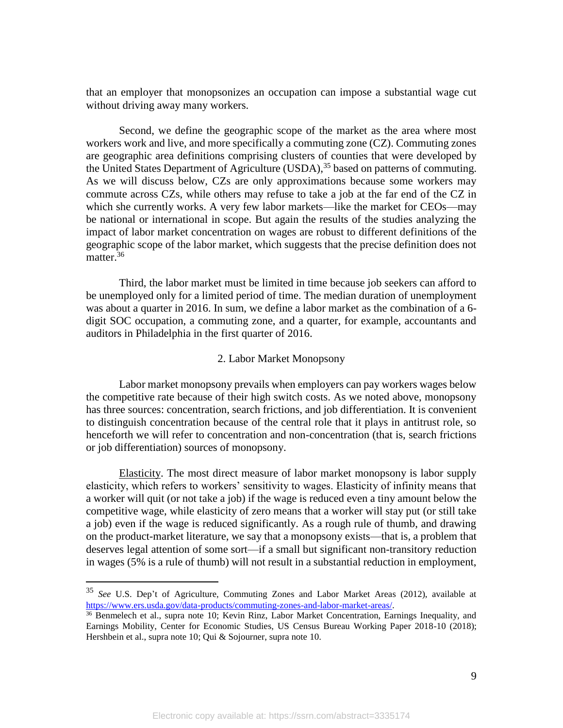that an employer that monopsonizes an occupation can impose a substantial wage cut without driving away many workers.

Second, we define the geographic scope of the market as the area where most workers work and live, and more specifically a commuting zone (CZ). Commuting zones are geographic area definitions comprising clusters of counties that were developed by the United States Department of Agriculture (USDA),<sup>35</sup> based on patterns of commuting. As we will discuss below, CZs are only approximations because some workers may commute across CZs, while others may refuse to take a job at the far end of the CZ in which she currently works. A very few labor markets—like the market for CEOs—may be national or international in scope. But again the results of the studies analyzing the impact of labor market concentration on wages are robust to different definitions of the geographic scope of the labor market, which suggests that the precise definition does not matter.<sup>36</sup>

Third, the labor market must be limited in time because job seekers can afford to be unemployed only for a limited period of time. The median duration of unemployment was about a quarter in 2016. In sum, we define a labor market as the combination of a 6 digit SOC occupation, a commuting zone, and a quarter, for example, accountants and auditors in Philadelphia in the first quarter of 2016.

### 2. Labor Market Monopsony

Labor market monopsony prevails when employers can pay workers wages below the competitive rate because of their high switch costs. As we noted above, monopsony has three sources: concentration, search frictions, and job differentiation. It is convenient to distinguish concentration because of the central role that it plays in antitrust role, so henceforth we will refer to concentration and non-concentration (that is, search frictions or job differentiation) sources of monopsony.

Elasticity. The most direct measure of labor market monopsony is labor supply elasticity, which refers to workers' sensitivity to wages. Elasticity of infinity means that a worker will quit (or not take a job) if the wage is reduced even a tiny amount below the competitive wage, while elasticity of zero means that a worker will stay put (or still take a job) even if the wage is reduced significantly. As a rough rule of thumb, and drawing on the product-market literature, we say that a monopsony exists—that is, a problem that deserves legal attention of some sort—if a small but significant non-transitory reduction in wages (5% is a rule of thumb) will not result in a substantial reduction in employment,

<sup>35</sup> *See* U.S. Dep't of Agriculture, Commuting Zones and Labor Market Areas (2012), available at https://www.ers.usda.gov/data-products/commuting-zones-and-labor-market-areas/.

<sup>&</sup>lt;sup>36</sup> Benmelech et al., supra note 10; Kevin Rinz, Labor Market Concentration, Earnings Inequality, and Earnings Mobility, Center for Economic Studies, US Census Bureau Working Paper 2018-10 (2018); Hershbein et al., supra note 10; Qui & Sojourner, supra note 10.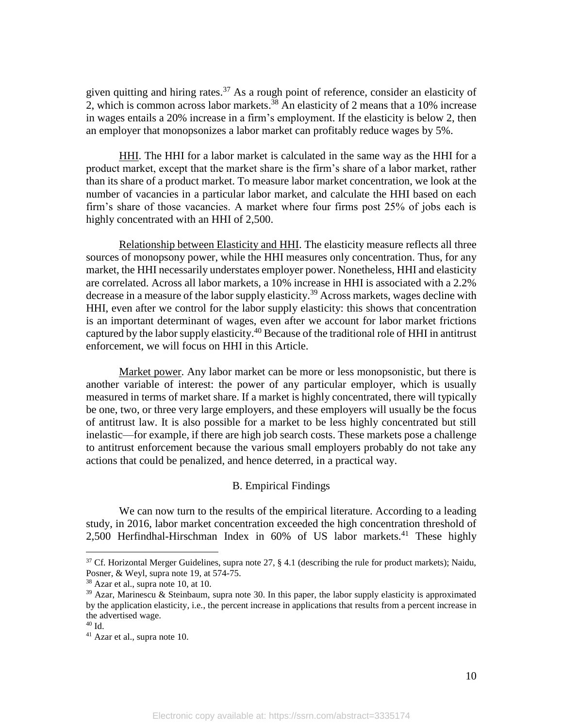given quitting and hiring rates.<sup>37</sup> As a rough point of reference, consider an elasticity of 2, which is common across labor markets.<sup>38</sup> An elasticity of 2 means that a 10% increase in wages entails a 20% increase in a firm's employment. If the elasticity is below 2, then an employer that monopsonizes a labor market can profitably reduce wages by 5%.

HHI. The HHI for a labor market is calculated in the same way as the HHI for a product market, except that the market share is the firm's share of a labor market, rather than its share of a product market. To measure labor market concentration, we look at the number of vacancies in a particular labor market, and calculate the HHI based on each firm's share of those vacancies. A market where four firms post 25% of jobs each is highly concentrated with an HHI of 2,500.

Relationship between Elasticity and HHI. The elasticity measure reflects all three sources of monopsony power, while the HHI measures only concentration. Thus, for any market, the HHI necessarily understates employer power. Nonetheless, HHI and elasticity are correlated. Across all labor markets, a 10% increase in HHI is associated with a 2.2% decrease in a measure of the labor supply elasticity.<sup>39</sup> Across markets, wages decline with HHI, even after we control for the labor supply elasticity: this shows that concentration is an important determinant of wages, even after we account for labor market frictions captured by the labor supply elasticity.<sup>40</sup> Because of the traditional role of HHI in antitrust enforcement, we will focus on HHI in this Article.

Market power. Any labor market can be more or less monopsonistic, but there is another variable of interest: the power of any particular employer, which is usually measured in terms of market share. If a market is highly concentrated, there will typically be one, two, or three very large employers, and these employers will usually be the focus of antitrust law. It is also possible for a market to be less highly concentrated but still inelastic—for example, if there are high job search costs. These markets pose a challenge to antitrust enforcement because the various small employers probably do not take any actions that could be penalized, and hence deterred, in a practical way.

## B. Empirical Findings

We can now turn to the results of the empirical literature. According to a leading study, in 2016, labor market concentration exceeded the high concentration threshold of 2,500 Herfindhal-Hirschman Index in  $60\%$  of US labor markets.<sup>41</sup> These highly

 $37$  Cf. Horizontal Merger Guidelines, supra note 27, § 4.1 (describing the rule for product markets); Naidu, Posner, & Weyl, supra note 19, at 574-75.

<sup>38</sup> Azar et al., supra note 10, at 10.

 $39$  Azar, Marinescu & Steinbaum, supra note 30. In this paper, the labor supply elasticity is approximated by the application elasticity, i.e., the percent increase in applications that results from a percent increase in the advertised wage.

<sup>40</sup> Id.

<sup>41</sup> Azar et al., supra note 10.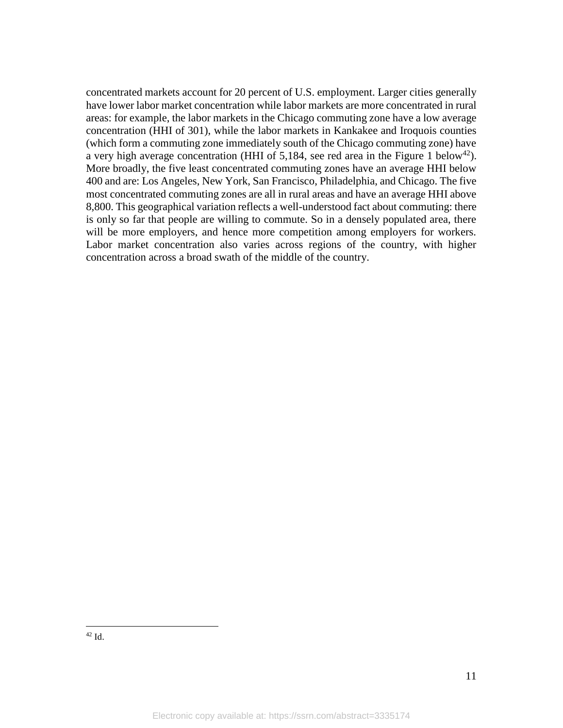concentrated markets account for 20 percent of U.S. employment. Larger cities generally have lower labor market concentration while labor markets are more concentrated in rural areas: for example, the labor markets in the Chicago commuting zone have a low average concentration (HHI of 301), while the labor markets in Kankakee and Iroquois counties (which form a commuting zone immediately south of the Chicago commuting zone) have a very high average concentration (HHI of 5,184, see red area in the Figure 1 below<sup>42</sup>). More broadly, the five least concentrated commuting zones have an average HHI below 400 and are: Los Angeles, New York, San Francisco, Philadelphia, and Chicago. The five most concentrated commuting zones are all in rural areas and have an average HHI above 8,800. This geographical variation reflects a well-understood fact about commuting: there is only so far that people are willing to commute. So in a densely populated area, there will be more employers, and hence more competition among employers for workers. Labor market concentration also varies across regions of the country, with higher concentration across a broad swath of the middle of the country.

 $\overline{a}$ <sup>42</sup> Id.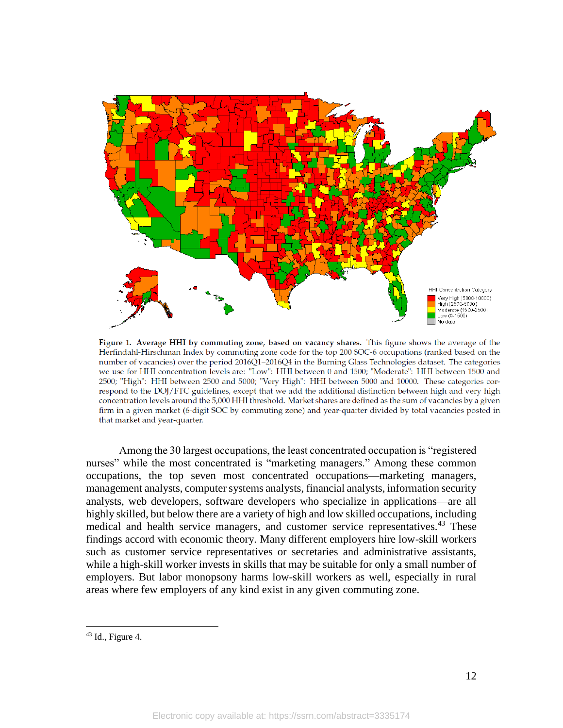

Figure 1. Average HHI by commuting zone, based on vacancy shares. This figure shows the average of the Herfindahl-Hirschman Index by commuting zone code for the top 200 SOC-6 occupations (ranked based on the number of vacancies) over the period 2016Q1-2016Q4 in the Burning Glass Technologies dataset. The categories we use for HHI concentration levels are: "Low": HHI between 0 and 1500; "Moderate": HHI between 1500 and 2500; "High": HHI between 2500 and 5000; "Very High": HHI between 5000 and 10000. These categories correspond to the DOJ/FTC guidelines, except that we add the additional distinction between high and very high concentration levels around the 5,000 HHI threshold. Market shares are defined as the sum of vacancies by a given firm in a given market (6-digit SOC by commuting zone) and year-quarter divided by total vacancies posted in that market and year-quarter.

Among the 30 largest occupations, the least concentrated occupation is "registered nurses" while the most concentrated is "marketing managers." Among these common occupations, the top seven most concentrated occupations—marketing managers, management analysts, computer systems analysts, financial analysts, information security analysts, web developers, software developers who specialize in applications—are all highly skilled, but below there are a variety of high and low skilled occupations, including medical and health service managers, and customer service representatives.<sup>43</sup> These findings accord with economic theory. Many different employers hire low-skill workers such as customer service representatives or secretaries and administrative assistants, while a high-skill worker invests in skills that may be suitable for only a small number of employers. But labor monopsony harms low-skill workers as well, especially in rural areas where few employers of any kind exist in any given commuting zone.

 $43$  Id., Figure 4.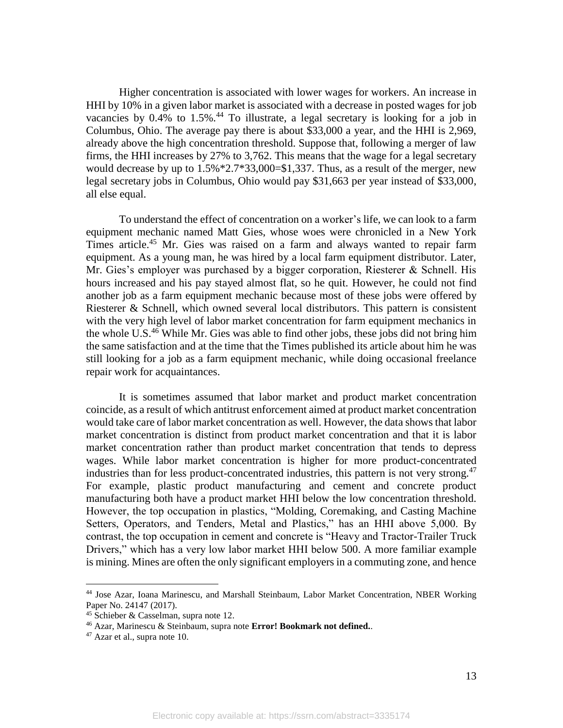Higher concentration is associated with lower wages for workers. An increase in HHI by 10% in a given labor market is associated with a decrease in posted wages for job vacancies by  $0.4\%$  to  $1.5\%$ .<sup>44</sup> To illustrate, a legal secretary is looking for a job in Columbus, Ohio. The average pay there is about \$33,000 a year, and the HHI is 2,969, already above the high concentration threshold. Suppose that, following a merger of law firms, the HHI increases by 27% to 3,762. This means that the wage for a legal secretary would decrease by up to  $1.5\%$  \*2.7\*33,000=\$1,337. Thus, as a result of the merger, new legal secretary jobs in Columbus, Ohio would pay \$31,663 per year instead of \$33,000, all else equal.

To understand the effect of concentration on a worker's life, we can look to a farm equipment mechanic named Matt Gies, whose woes were chronicled in a New York Times article. <sup>45</sup> Mr. Gies was raised on a farm and always wanted to repair farm equipment. As a young man, he was hired by a local farm equipment distributor. Later, Mr. Gies's employer was purchased by a bigger corporation, Riesterer & Schnell. His hours increased and his pay stayed almost flat, so he quit. However, he could not find another job as a farm equipment mechanic because most of these jobs were offered by Riesterer & Schnell, which owned several local distributors. This pattern is consistent with the very high level of labor market concentration for farm equipment mechanics in the whole U.S.<sup>46</sup> While Mr. Gies was able to find other jobs, these jobs did not bring him the same satisfaction and at the time that the Times published its article about him he was still looking for a job as a farm equipment mechanic, while doing occasional freelance repair work for acquaintances.

It is sometimes assumed that labor market and product market concentration coincide, as a result of which antitrust enforcement aimed at product market concentration would take care of labor market concentration as well. However, the data shows that labor market concentration is distinct from product market concentration and that it is labor market concentration rather than product market concentration that tends to depress wages. While labor market concentration is higher for more product-concentrated industries than for less product-concentrated industries, this pattern is not very strong.<sup>47</sup> For example, plastic product manufacturing and cement and concrete product manufacturing both have a product market HHI below the low concentration threshold. However, the top occupation in plastics, "Molding, Coremaking, and Casting Machine Setters, Operators, and Tenders, Metal and Plastics," has an HHI above 5,000. By contrast, the top occupation in cement and concrete is "Heavy and Tractor-Trailer Truck Drivers," which has a very low labor market HHI below 500. A more familiar example is mining. Mines are often the only significant employers in a commuting zone, and hence

<sup>44</sup> Jose Azar, Ioana Marinescu, and Marshall Steinbaum, Labor Market Concentration, NBER Working Paper No. 24147 (2017).

<sup>45</sup> Schieber & Casselman, supra note 12.

<sup>46</sup> Azar, Marinescu & Steinbaum, supra note **Error! Bookmark not defined.**.

<sup>47</sup> Azar et al., supra note 10.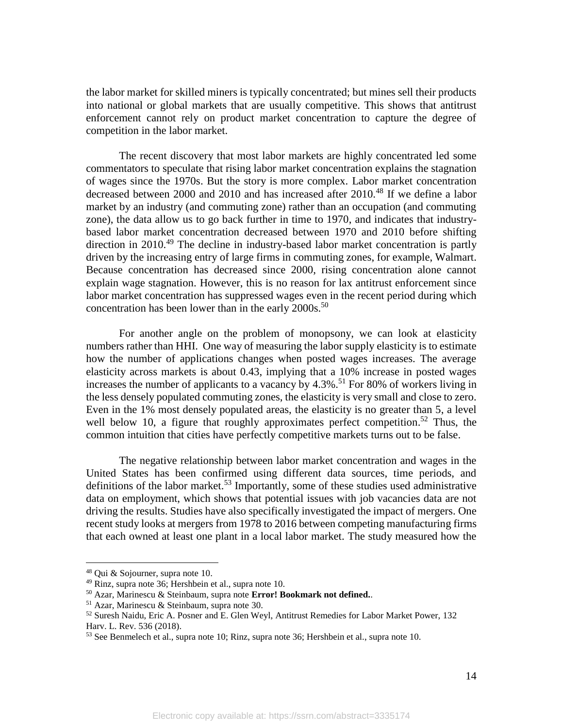the labor market for skilled miners is typically concentrated; but mines sell their products into national or global markets that are usually competitive. This shows that antitrust enforcement cannot rely on product market concentration to capture the degree of competition in the labor market.

The recent discovery that most labor markets are highly concentrated led some commentators to speculate that rising labor market concentration explains the stagnation of wages since the 1970s. But the story is more complex. Labor market concentration decreased between 2000 and 2010 and has increased after 2010.<sup>48</sup> If we define a labor market by an industry (and commuting zone) rather than an occupation (and commuting zone), the data allow us to go back further in time to 1970, and indicates that industrybased labor market concentration decreased between 1970 and 2010 before shifting direction in 2010.<sup>49</sup> The decline in industry-based labor market concentration is partly driven by the increasing entry of large firms in commuting zones, for example, Walmart. Because concentration has decreased since 2000, rising concentration alone cannot explain wage stagnation. However, this is no reason for lax antitrust enforcement since labor market concentration has suppressed wages even in the recent period during which concentration has been lower than in the early  $2000s$ .<sup>50</sup>

For another angle on the problem of monopsony, we can look at elasticity numbers rather than HHI. One way of measuring the labor supply elasticity is to estimate how the number of applications changes when posted wages increases. The average elasticity across markets is about 0.43, implying that a 10% increase in posted wages increases the number of applicants to a vacancy by  $4.3\%$ .<sup>51</sup> For 80% of workers living in the less densely populated commuting zones, the elasticity is very small and close to zero. Even in the 1% most densely populated areas, the elasticity is no greater than 5, a level well below 10, a figure that roughly approximates perfect competition.<sup>52</sup> Thus, the common intuition that cities have perfectly competitive markets turns out to be false.

The negative relationship between labor market concentration and wages in the United States has been confirmed using different data sources, time periods, and definitions of the labor market.<sup>53</sup> Importantly, some of these studies used administrative data on employment, which shows that potential issues with job vacancies data are not driving the results. Studies have also specifically investigated the impact of mergers. One recent study looks at mergers from 1978 to 2016 between competing manufacturing firms that each owned at least one plant in a local labor market. The study measured how the

<sup>48</sup> Qui & Sojourner, supra note 10.

<sup>49</sup> Rinz, supra note 36; Hershbein et al., supra note 10.

<sup>50</sup> Azar, Marinescu & Steinbaum, supra note **Error! Bookmark not defined.**.

<sup>51</sup> Azar, Marinescu & Steinbaum, supra note 30.

<sup>52</sup> Suresh Naidu, Eric A. Posner and E. Glen Weyl, Antitrust Remedies for Labor Market Power, 132 Harv. L. Rev. 536 (2018).

<sup>53</sup> See Benmelech et al., supra note 10; Rinz, supra note 36; Hershbein et al., supra note 10.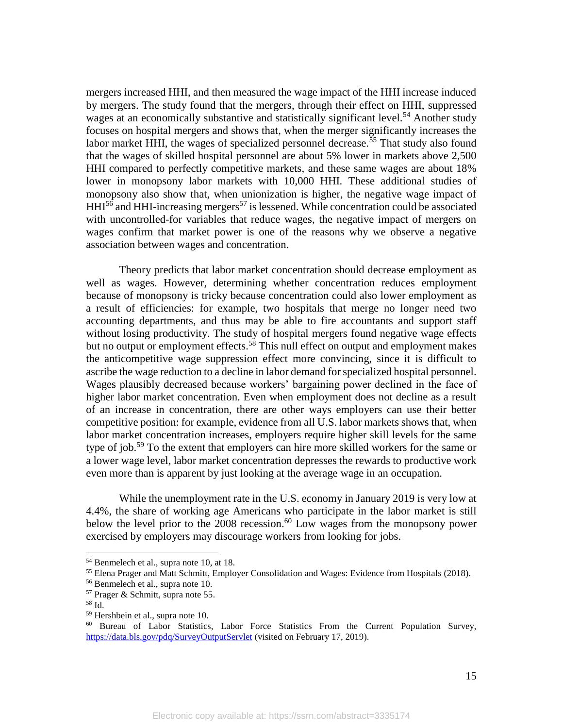mergers increased HHI, and then measured the wage impact of the HHI increase induced by mergers. The study found that the mergers, through their effect on HHI, suppressed wages at an economically substantive and statistically significant level.<sup>54</sup> Another study focuses on hospital mergers and shows that, when the merger significantly increases the labor market HHI, the wages of specialized personnel decrease.<sup>55</sup> That study also found that the wages of skilled hospital personnel are about 5% lower in markets above 2,500 HHI compared to perfectly competitive markets, and these same wages are about 18% lower in monopsony labor markets with 10,000 HHI. These additional studies of monopsony also show that, when unionization is higher, the negative wage impact of  $HHI<sup>56</sup>$  and HHI-increasing mergers<sup>57</sup> is lessened. While concentration could be associated with uncontrolled-for variables that reduce wages, the negative impact of mergers on wages confirm that market power is one of the reasons why we observe a negative association between wages and concentration.

Theory predicts that labor market concentration should decrease employment as well as wages. However, determining whether concentration reduces employment because of monopsony is tricky because concentration could also lower employment as a result of efficiencies: for example, two hospitals that merge no longer need two accounting departments, and thus may be able to fire accountants and support staff without losing productivity. The study of hospital mergers found negative wage effects but no output or employment effects.<sup>58</sup> This null effect on output and employment makes the anticompetitive wage suppression effect more convincing, since it is difficult to ascribe the wage reduction to a decline in labor demand for specialized hospital personnel. Wages plausibly decreased because workers' bargaining power declined in the face of higher labor market concentration. Even when employment does not decline as a result of an increase in concentration, there are other ways employers can use their better competitive position: for example, evidence from all U.S. labor markets shows that, when labor market concentration increases, employers require higher skill levels for the same type of job. <sup>59</sup> To the extent that employers can hire more skilled workers for the same or a lower wage level, labor market concentration depresses the rewards to productive work even more than is apparent by just looking at the average wage in an occupation.

While the unemployment rate in the U.S. economy in January 2019 is very low at 4.4%, the share of working age Americans who participate in the labor market is still below the level prior to the 2008 recession. <sup>60</sup> Low wages from the monopsony power exercised by employers may discourage workers from looking for jobs.

<sup>54</sup> Benmelech et al., supra note 10, at 18.

<sup>55</sup> Elena Prager and Matt Schmitt, Employer Consolidation and Wages: Evidence from Hospitals (2018).

<sup>56</sup> Benmelech et al., supra note 10.

<sup>57</sup> Prager & Schmitt, supra note 55.

<sup>58</sup> Id.

<sup>59</sup> Hershbein et al., supra note 10.

<sup>60</sup> Bureau of Labor Statistics, Labor Force Statistics From the Current Population Survey, https://data.bls.gov/pdq/SurveyOutputServlet (visited on February 17, 2019).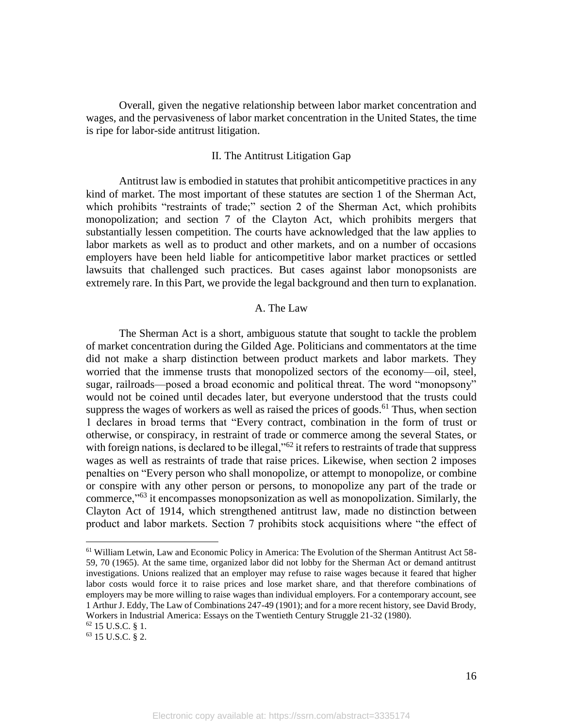Overall, given the negative relationship between labor market concentration and wages, and the pervasiveness of labor market concentration in the United States, the time is ripe for labor-side antitrust litigation.

### II. The Antitrust Litigation Gap

Antitrust law is embodied in statutes that prohibit anticompetitive practices in any kind of market. The most important of these statutes are section 1 of the Sherman Act, which prohibits "restraints of trade;" section 2 of the Sherman Act, which prohibits monopolization; and section 7 of the Clayton Act, which prohibits mergers that substantially lessen competition. The courts have acknowledged that the law applies to labor markets as well as to product and other markets, and on a number of occasions employers have been held liable for anticompetitive labor market practices or settled lawsuits that challenged such practices. But cases against labor monopsonists are extremely rare. In this Part, we provide the legal background and then turn to explanation.

## A. The Law

The Sherman Act is a short, ambiguous statute that sought to tackle the problem of market concentration during the Gilded Age. Politicians and commentators at the time did not make a sharp distinction between product markets and labor markets. They worried that the immense trusts that monopolized sectors of the economy—oil, steel, sugar, railroads—posed a broad economic and political threat. The word "monopsony" would not be coined until decades later, but everyone understood that the trusts could suppress the wages of workers as well as raised the prices of goods.<sup>61</sup> Thus, when section 1 declares in broad terms that "Every contract, combination in the form of trust or otherwise, or conspiracy, in restraint of trade or commerce among the several States, or with foreign nations, is declared to be illegal,"<sup>62</sup> it refers to restraints of trade that suppress wages as well as restraints of trade that raise prices. Likewise, when section 2 imposes penalties on "Every person who shall monopolize, or attempt to monopolize, or combine or conspire with any other person or persons, to monopolize any part of the trade or commerce,"<sup>63</sup> it encompasses monopsonization as well as monopolization. Similarly, the Clayton Act of 1914, which strengthened antitrust law, made no distinction between product and labor markets. Section 7 prohibits stock acquisitions where "the effect of

<sup>61</sup> William Letwin, Law and Economic Policy in America: The Evolution of the Sherman Antitrust Act 58- 59, 70 (1965). At the same time, organized labor did not lobby for the Sherman Act or demand antitrust investigations. Unions realized that an employer may refuse to raise wages because it feared that higher labor costs would force it to raise prices and lose market share, and that therefore combinations of employers may be more willing to raise wages than individual employers. For a contemporary account, see 1 Arthur J. Eddy, The Law of Combinations 247-49 (1901); and for a more recent history, see David Brody, Workers in Industrial America: Essays on the Twentieth Century Struggle 21-32 (1980).

<sup>62</sup> 15 U.S.C. § 1.

<sup>63</sup> 15 U.S.C. § 2.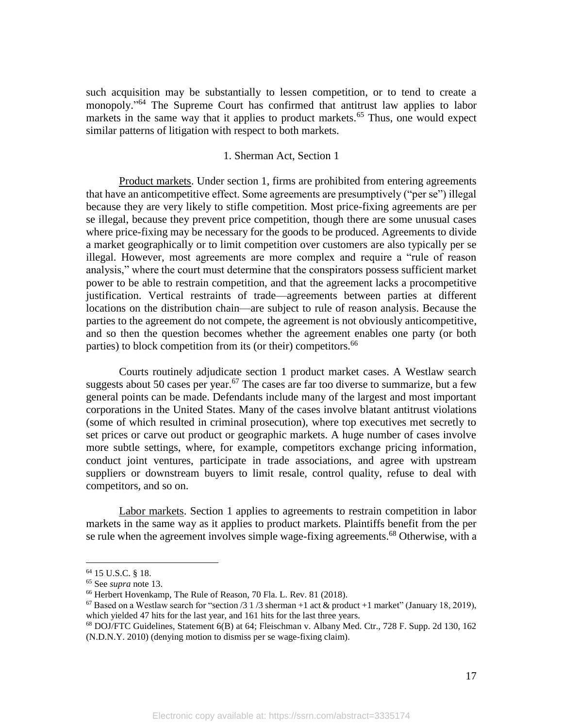such acquisition may be substantially to lessen competition, or to tend to create a monopoly."<sup>64</sup> The Supreme Court has confirmed that antitrust law applies to labor markets in the same way that it applies to product markets.<sup>65</sup> Thus, one would expect similar patterns of litigation with respect to both markets.

### 1. Sherman Act, Section 1

Product markets. Under section 1, firms are prohibited from entering agreements that have an anticompetitive effect. Some agreements are presumptively ("per se") illegal because they are very likely to stifle competition. Most price-fixing agreements are per se illegal, because they prevent price competition, though there are some unusual cases where price-fixing may be necessary for the goods to be produced. Agreements to divide a market geographically or to limit competition over customers are also typically per se illegal. However, most agreements are more complex and require a "rule of reason analysis," where the court must determine that the conspirators possess sufficient market power to be able to restrain competition, and that the agreement lacks a procompetitive justification. Vertical restraints of trade—agreements between parties at different locations on the distribution chain—are subject to rule of reason analysis. Because the parties to the agreement do not compete, the agreement is not obviously anticompetitive, and so then the question becomes whether the agreement enables one party (or both parties) to block competition from its (or their) competitors.<sup>66</sup>

Courts routinely adjudicate section 1 product market cases. A Westlaw search suggests about 50 cases per year.<sup>67</sup> The cases are far too diverse to summarize, but a few general points can be made. Defendants include many of the largest and most important corporations in the United States. Many of the cases involve blatant antitrust violations (some of which resulted in criminal prosecution), where top executives met secretly to set prices or carve out product or geographic markets. A huge number of cases involve more subtle settings, where, for example, competitors exchange pricing information, conduct joint ventures, participate in trade associations, and agree with upstream suppliers or downstream buyers to limit resale, control quality, refuse to deal with competitors, and so on.

Labor markets. Section 1 applies to agreements to restrain competition in labor markets in the same way as it applies to product markets. Plaintiffs benefit from the per se rule when the agreement involves simple wage-fixing agreements.<sup>68</sup> Otherwise, with a

<sup>64</sup> 15 U.S.C. § 18.

<sup>65</sup> See *supra* note 13.

<sup>66</sup> Herbert Hovenkamp, The Rule of Reason, 70 Fla. L. Rev. 81 (2018).

<sup>&</sup>lt;sup>67</sup> Based on a Westlaw search for "section /3 1 /3 sherman +1 act & product +1 market" (January 18, 2019), which yielded 47 hits for the last year, and 161 hits for the last three years.

<sup>68</sup> DOJ/FTC Guidelines, Statement 6(B) at 64; Fleischman v. Albany Med. Ctr., 728 F. Supp. 2d 130, 162 (N.D.N.Y. 2010) (denying motion to dismiss per se wage-fixing claim).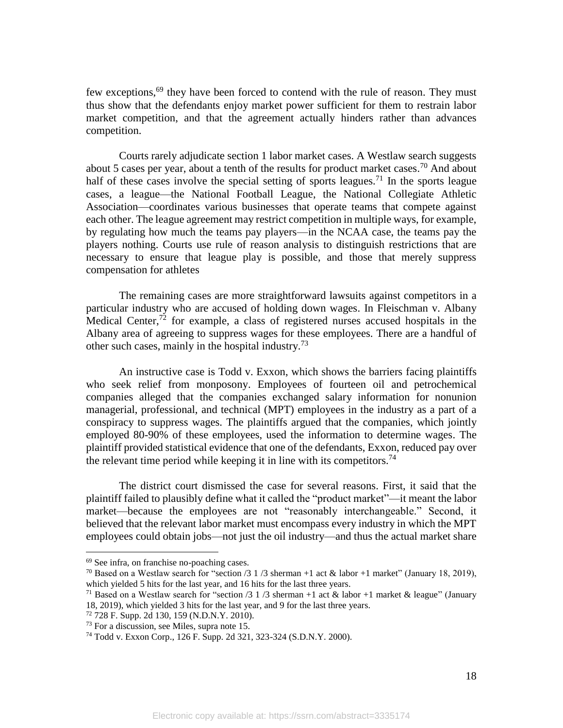few exceptions,<sup>69</sup> they have been forced to contend with the rule of reason. They must thus show that the defendants enjoy market power sufficient for them to restrain labor market competition, and that the agreement actually hinders rather than advances competition.

Courts rarely adjudicate section 1 labor market cases. A Westlaw search suggests about 5 cases per year, about a tenth of the results for product market cases.<sup>70</sup> And about half of these cases involve the special setting of sports leagues.<sup>71</sup> In the sports league cases, a league—the National Football League, the National Collegiate Athletic Association—coordinates various businesses that operate teams that compete against each other. The league agreement may restrict competition in multiple ways, for example, by regulating how much the teams pay players—in the NCAA case, the teams pay the players nothing. Courts use rule of reason analysis to distinguish restrictions that are necessary to ensure that league play is possible, and those that merely suppress compensation for athletes

The remaining cases are more straightforward lawsuits against competitors in a particular industry who are accused of holding down wages. In Fleischman v. Albany Medical Center,<sup>72</sup> for example, a class of registered nurses accused hospitals in the Albany area of agreeing to suppress wages for these employees. There are a handful of other such cases, mainly in the hospital industry.<sup>73</sup>

An instructive case is Todd v. Exxon, which shows the barriers facing plaintiffs who seek relief from monposony. Employees of fourteen oil and petrochemical companies alleged that the companies exchanged salary information for nonunion managerial, professional, and technical (MPT) employees in the industry as a part of a conspiracy to suppress wages. The plaintiffs argued that the companies, which jointly employed 80-90% of these employees, used the information to determine wages. The plaintiff provided statistical evidence that one of the defendants, Exxon, reduced pay over the relevant time period while keeping it in line with its competitors.<sup>74</sup>

The district court dismissed the case for several reasons. First, it said that the plaintiff failed to plausibly define what it called the "product market"—it meant the labor market—because the employees are not "reasonably interchangeable." Second, it believed that the relevant labor market must encompass every industry in which the MPT employees could obtain jobs—not just the oil industry—and thus the actual market share

<sup>69</sup> See infra, on franchise no-poaching cases.

<sup>&</sup>lt;sup>70</sup> Based on a Westlaw search for "section  $/3$  1  $/3$  sherman +1 act & labor +1 market" (January 18, 2019), which yielded 5 hits for the last year, and 16 hits for the last three years.

<sup>&</sup>lt;sup>71</sup> Based on a Westlaw search for "section /3 1 /3 sherman +1 act & labor +1 market & league" (January 18, 2019), which yielded 3 hits for the last year, and 9 for the last three years.

<sup>72</sup> 728 F. Supp. 2d 130, 159 (N.D.N.Y. 2010).

<sup>73</sup> For a discussion, see Miles, supra note 15.

<sup>74</sup> Todd v. Exxon Corp., 126 F. Supp. 2d 321, 323-324 (S.D.N.Y. 2000).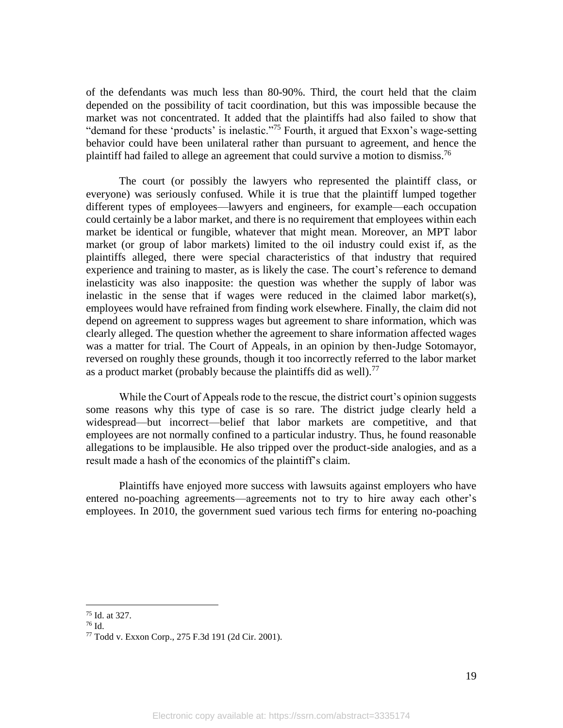of the defendants was much less than 80-90%. Third, the court held that the claim depended on the possibility of tacit coordination, but this was impossible because the market was not concentrated. It added that the plaintiffs had also failed to show that "demand for these 'products' is inelastic."<sup>75</sup> Fourth, it argued that Exxon's wage-setting behavior could have been unilateral rather than pursuant to agreement, and hence the plaintiff had failed to allege an agreement that could survive a motion to dismiss.<sup>76</sup>

The court (or possibly the lawyers who represented the plaintiff class, or everyone) was seriously confused. While it is true that the plaintiff lumped together different types of employees—lawyers and engineers, for example—each occupation could certainly be a labor market, and there is no requirement that employees within each market be identical or fungible, whatever that might mean. Moreover, an MPT labor market (or group of labor markets) limited to the oil industry could exist if, as the plaintiffs alleged, there were special characteristics of that industry that required experience and training to master, as is likely the case. The court's reference to demand inelasticity was also inapposite: the question was whether the supply of labor was inelastic in the sense that if wages were reduced in the claimed labor market(s), employees would have refrained from finding work elsewhere. Finally, the claim did not depend on agreement to suppress wages but agreement to share information, which was clearly alleged. The question whether the agreement to share information affected wages was a matter for trial. The Court of Appeals, in an opinion by then-Judge Sotomayor, reversed on roughly these grounds, though it too incorrectly referred to the labor market as a product market (probably because the plaintiffs did as well).<sup>77</sup>

While the Court of Appeals rode to the rescue, the district court's opinion suggests some reasons why this type of case is so rare. The district judge clearly held a widespread—but incorrect—belief that labor markets are competitive, and that employees are not normally confined to a particular industry. Thus, he found reasonable allegations to be implausible. He also tripped over the product-side analogies, and as a result made a hash of the economics of the plaintiff's claim.

Plaintiffs have enjoyed more success with lawsuits against employers who have entered no-poaching agreements—agreements not to try to hire away each other's employees. In 2010, the government sued various tech firms for entering no-poaching

<sup>75</sup> Id. at 327.

<sup>76</sup> Id.

<sup>77</sup> Todd v. Exxon Corp., 275 F.3d 191 (2d Cir. 2001).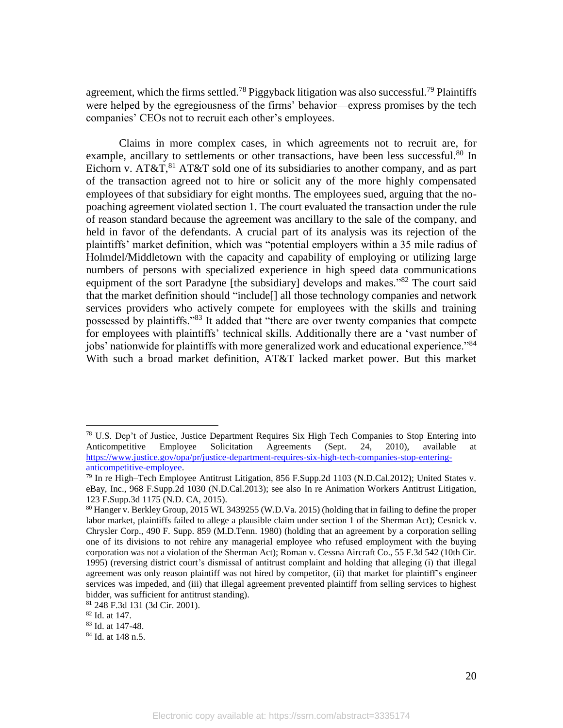agreement, which the firms settled.<sup>78</sup> Piggyback litigation was also successful.<sup>79</sup> Plaintiffs were helped by the egregiousness of the firms' behavior—express promises by the tech companies' CEOs not to recruit each other's employees.

Claims in more complex cases, in which agreements not to recruit are, for example, ancillary to settlements or other transactions, have been less successful.<sup>80</sup> In Eichorn v. AT&T, <sup>81</sup> AT&T sold one of its subsidiaries to another company, and as part of the transaction agreed not to hire or solicit any of the more highly compensated employees of that subsidiary for eight months. The employees sued, arguing that the nopoaching agreement violated section 1. The court evaluated the transaction under the rule of reason standard because the agreement was ancillary to the sale of the company, and held in favor of the defendants. A crucial part of its analysis was its rejection of the plaintiffs' market definition, which was "potential employers within a 35 mile radius of Holmdel/Middletown with the capacity and capability of employing or utilizing large numbers of persons with specialized experience in high speed data communications equipment of the sort Paradyne [the subsidiary] develops and makes."<sup>82</sup> The court said that the market definition should "include[] all those technology companies and network services providers who actively compete for employees with the skills and training possessed by plaintiffs."<sup>83</sup> It added that "there are over twenty companies that compete for employees with plaintiffs' technical skills. Additionally there are a 'vast number of jobs' nationwide for plaintiffs with more generalized work and educational experience."<sup>84</sup> With such a broad market definition, AT&T lacked market power. But this market

<sup>78</sup> U.S. Dep't of Justice, Justice Department Requires Six High Tech Companies to Stop Entering into Anticompetitive Employee Solicitation Agreements (Sept. 24, 2010), available at https://www.justice.gov/opa/pr/justice-department-requires-six-high-tech-companies-stop-enteringanticompetitive-employee.

 $^{79}$  In re High–Tech Employee Antitrust Litigation, 856 F.Supp.2d 1103 (N.D.Cal.2012); United States v. eBay, Inc., 968 F.Supp.2d 1030 (N.D.Cal.2013); see also In re Animation Workers Antitrust Litigation, 123 F.Supp.3d 1175 (N.D. CA, 2015).

<sup>80</sup> Hanger v. Berkley Group, 2015 WL 3439255 (W.D.Va. 2015) (holding that in failing to define the proper labor market, plaintiffs failed to allege a plausible claim under section 1 of the Sherman Act); Cesnick v. Chrysler Corp., 490 F. Supp. 859 (M.D.Tenn. 1980) (holding that an agreement by a corporation selling one of its divisions to not rehire any managerial employee who refused employment with the buying corporation was not a violation of the Sherman Act); Roman v. Cessna Aircraft Co., 55 F.3d 542 (10th Cir. 1995) (reversing district court's dismissal of antitrust complaint and holding that alleging (i) that illegal agreement was only reason plaintiff was not hired by competitor, (ii) that market for plaintiff's engineer services was impeded, and (iii) that illegal agreement prevented plaintiff from selling services to highest bidder, was sufficient for antitrust standing).

<sup>81</sup> 248 F.3d 131 (3d Cir. 2001).

<sup>82</sup> Id. at 147.

<sup>83</sup> Id. at 147-48.

<sup>84</sup> Id. at 148 n.5.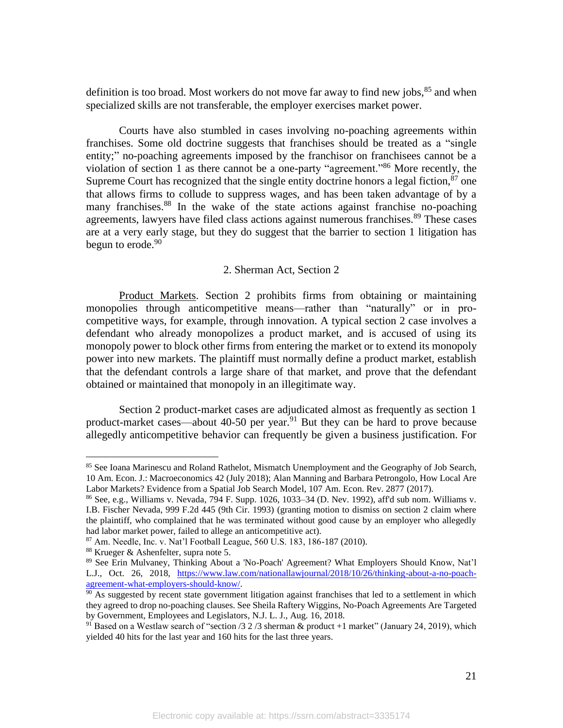definition is too broad. Most workers do not move far away to find new jobs,  $85$  and when specialized skills are not transferable, the employer exercises market power.

Courts have also stumbled in cases involving no-poaching agreements within franchises. Some old doctrine suggests that franchises should be treated as a "single entity;" no-poaching agreements imposed by the franchisor on franchisees cannot be a violation of section 1 as there cannot be a one-party "agreement."<sup>86</sup> More recently, the Supreme Court has recognized that the single entity doctrine honors a legal fiction, $\frac{87}{2}$  one that allows firms to collude to suppress wages, and has been taken advantage of by a many franchises.<sup>88</sup> In the wake of the state actions against franchise no-poaching agreements, lawyers have filed class actions against numerous franchises.<sup>89</sup> These cases are at a very early stage, but they do suggest that the barrier to section 1 litigation has begun to erode. $90$ 

## 2. Sherman Act, Section 2

Product Markets. Section 2 prohibits firms from obtaining or maintaining monopolies through anticompetitive means—rather than "naturally" or in procompetitive ways, for example, through innovation. A typical section 2 case involves a defendant who already monopolizes a product market, and is accused of using its monopoly power to block other firms from entering the market or to extend its monopoly power into new markets. The plaintiff must normally define a product market, establish that the defendant controls a large share of that market, and prove that the defendant obtained or maintained that monopoly in an illegitimate way.

Section 2 product-market cases are adjudicated almost as frequently as section 1 product-market cases—about 40-50 per year.<sup>91</sup> But they can be hard to prove because allegedly anticompetitive behavior can frequently be given a business justification. For

<sup>&</sup>lt;sup>85</sup> See Ioana Marinescu and Roland Rathelot, Mismatch Unemployment and the Geography of Job Search, 10 Am. Econ. J.: Macroeconomics 42 (July 2018); Alan Manning and Barbara Petrongolo, How Local Are Labor Markets? Evidence from a Spatial Job Search Model, 107 Am. Econ. Rev. 2877 (2017).

<sup>86</sup> See, e.g., Williams v. Nevada, 794 F. Supp. 1026, 1033–34 (D. Nev. 1992), aff'd sub nom. Williams v. I.B. Fischer Nevada, 999 F.2d 445 (9th Cir. 1993) (granting motion to dismiss on section 2 claim where the plaintiff, who complained that he was terminated without good cause by an employer who allegedly had labor market power, failed to allege an anticompetitive act).

<sup>87</sup> Am. Needle, Inc. v. Nat'l Football League, 560 U.S. 183, 186-187 (2010).

<sup>88</sup> Krueger & Ashenfelter, supra note 5.

<sup>89</sup> See Erin Mulvaney, Thinking About a 'No-Poach' Agreement? What Employers Should Know, Nat'l L.J., Oct. 26, 2018, https://www.law.com/nationallawjournal/2018/10/26/thinking-about-a-no-poachagreement-what-employers-should-know/.

 $\frac{90}{20}$  As suggested by recent state government litigation against franchises that led to a settlement in which they agreed to drop no-poaching clauses. See Sheila Raftery Wiggins, No-Poach Agreements Are Targeted by Government, Employees and Legislators, N.J. L. J., Aug. 16, 2018.

<sup>&</sup>lt;sup>91</sup> Based on a Westlaw search of "section /3 2 /3 sherman & product +1 market" (January 24, 2019), which yielded 40 hits for the last year and 160 hits for the last three years.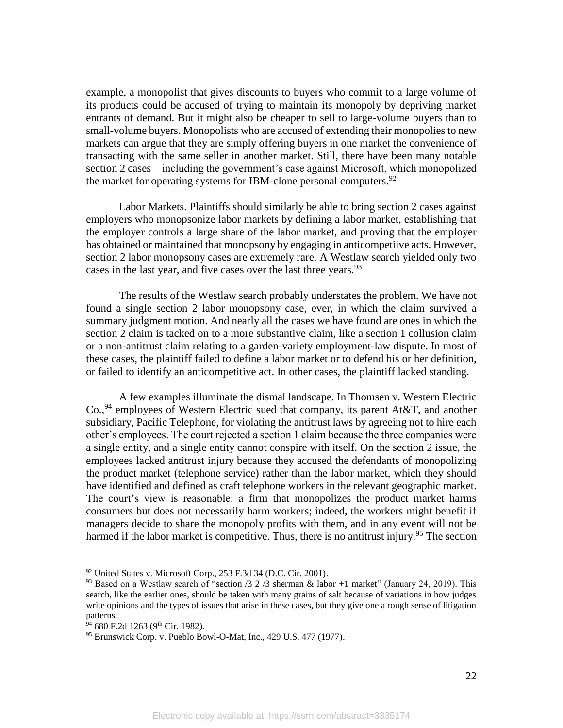example, a monopolist that gives discounts to buyers who commit to a large volume of its products could be accused of trying to maintain its monopoly by depriving market entrants of demand. But it might also be cheaper to sell to large-volume buyers than to small-volume buyers. Monopolists who are accused of extending their monopolies to new markets can argue that they are simply offering buyers in one market the convenience of transacting with the same seller in another market. Still, there have been many notable section 2 cases—including the government's case against Microsoft, which monopolized the market for operating systems for IBM-clone personal computers.<sup>92</sup>

Labor Markets. Plaintiffs should similarly be able to bring section 2 cases against employers who monopsonize labor markets by defining a labor market, establishing that the employer controls a large share of the labor market, and proving that the employer has obtained or maintained that monopsony by engaging in anticompetiive acts. However, section 2 labor monopsony cases are extremely rare. A Westlaw search yielded only two cases in the last year, and five cases over the last three years.<sup>93</sup>

The results of the Westlaw search probably understates the problem. We have not found a single section 2 labor monopsony case, ever, in which the claim survived a summary judgment motion. And nearly all the cases we have found are ones in which the section 2 claim is tacked on to a more substantive claim, like a section 1 collusion claim or a non-antitrust claim relating to a garden-variety employment-law dispute. In most of these cases, the plaintiff failed to define a labor market or to defend his or her definition, or failed to identify an anticompetitive act. In other cases, the plaintiff lacked standing.

A few examples illuminate the dismal landscape. In Thomsen v. Western Electric Co., <sup>94</sup> employees of Western Electric sued that company, its parent At&T, and another subsidiary, Pacific Telephone, for violating the antitrust laws by agreeing not to hire each other's employees. The court rejected a section 1 claim because the three companies were a single entity, and a single entity cannot conspire with itself. On the section 2 issue, the employees lacked antitrust injury because they accused the defendants of monopolizing the product market (telephone service) rather than the labor market, which they should have identified and defined as craft telephone workers in the relevant geographic market. The court's view is reasonable: a firm that monopolizes the product market harms consumers but does not necessarily harm workers; indeed, the workers might benefit if managers decide to share the monopoly profits with them, and in any event will not be harmed if the labor market is competitive. Thus, there is no antitrust injury.<sup>95</sup> The section

 $92$  United States v. Microsoft Corp., 253 F.3d 34 (D.C. Cir. 2001).

<sup>&</sup>lt;sup>93</sup> Based on a Westlaw search of "section /3 2 /3 sherman & labor +1 market" (January 24, 2019). This search, like the earlier ones, should be taken with many grains of salt because of variations in how judges write opinions and the types of issues that arise in these cases, but they give one a rough sense of litigation patterns.

 $34$  680 F.2d 1263 (9<sup>th</sup> Cir. 1982).

<sup>95</sup> Brunswick Corp. v. Pueblo Bowl-O-Mat, Inc., 429 U.S. 477 (1977).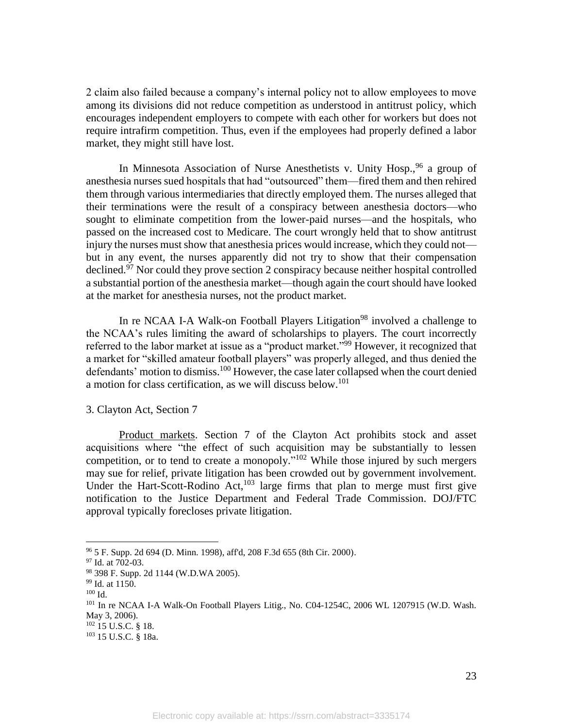2 claim also failed because a company's internal policy not to allow employees to move among its divisions did not reduce competition as understood in antitrust policy, which encourages independent employers to compete with each other for workers but does not require intrafirm competition. Thus, even if the employees had properly defined a labor market, they might still have lost.

In Minnesota Association of Nurse Anesthetists v. Unity Hosp., <sup>96</sup> a group of anesthesia nurses sued hospitals that had "outsourced" them—fired them and then rehired them through various intermediaries that directly employed them. The nurses alleged that their terminations were the result of a conspiracy between anesthesia doctors—who sought to eliminate competition from the lower-paid nurses—and the hospitals, who passed on the increased cost to Medicare. The court wrongly held that to show antitrust injury the nurses must show that anesthesia prices would increase, which they could not but in any event, the nurses apparently did not try to show that their compensation declined.<sup>97</sup> Nor could they prove section 2 conspiracy because neither hospital controlled a substantial portion of the anesthesia market—though again the court should have looked at the market for anesthesia nurses, not the product market.

In re NCAA I-A Walk-on Football Players Litigation<sup>98</sup> involved a challenge to the NCAA's rules limiting the award of scholarships to players. The court incorrectly referred to the labor market at issue as a "product market."<sup>99</sup> However, it recognized that a market for "skilled amateur football players" was properly alleged, and thus denied the defendants' motion to dismiss.<sup>100</sup> However, the case later collapsed when the court denied a motion for class certification, as we will discuss below.<sup>101</sup>

3. Clayton Act, Section 7

Product markets. Section 7 of the Clayton Act prohibits stock and asset acquisitions where "the effect of such acquisition may be substantially to lessen competition, or to tend to create a monopoly."<sup>102</sup> While those injured by such mergers may sue for relief, private litigation has been crowded out by government involvement. Under the Hart-Scott-Rodino Act, $^{103}$  large firms that plan to merge must first give notification to the Justice Department and Federal Trade Commission. DOJ/FTC approval typically forecloses private litigation.

<sup>96</sup> 5 F. Supp. 2d 694 (D. Minn. 1998), aff'd, 208 F.3d 655 (8th Cir. 2000).

<sup>97</sup> Id. at 702-03.

<sup>98</sup> 398 F. Supp. 2d 1144 (W.D.WA 2005).

<sup>99</sup> Id. at 1150.

<sup>100</sup> Id.

<sup>101</sup> In re NCAA I-A Walk-On Football Players Litig., No. C04-1254C, 2006 WL 1207915 (W.D. Wash. May 3, 2006).

<sup>102</sup> 15 U.S.C. § 18.

<sup>103</sup> 15 U.S.C. § 18a.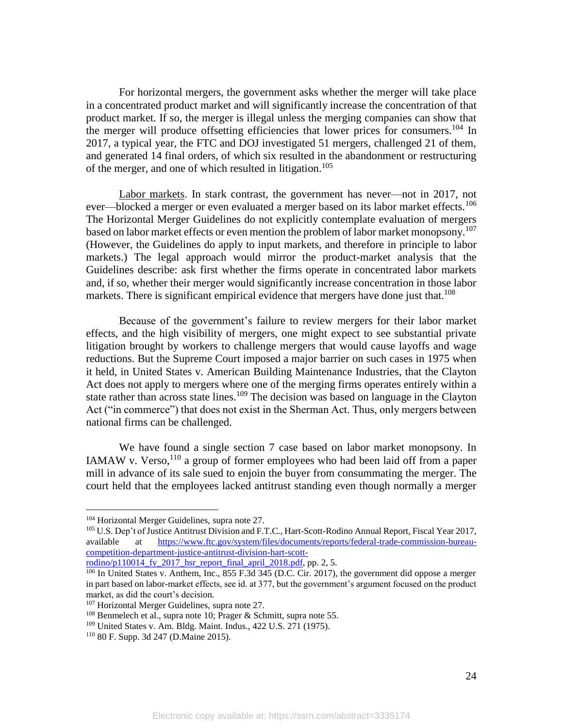For horizontal mergers, the government asks whether the merger will take place in a concentrated product market and will significantly increase the concentration of that product market. If so, the merger is illegal unless the merging companies can show that the merger will produce offsetting efficiencies that lower prices for consumers.<sup>104</sup> In 2017, a typical year, the FTC and DOJ investigated 51 mergers, challenged 21 of them, and generated 14 final orders, of which six resulted in the abandonment or restructuring of the merger, and one of which resulted in litigation.<sup>105</sup>

Labor markets. In stark contrast, the government has never—not in 2017, not ever—blocked a merger or even evaluated a merger based on its labor market effects.<sup>106</sup> The Horizontal Merger Guidelines do not explicitly contemplate evaluation of mergers based on labor market effects or even mention the problem of labor market monopsony.<sup>107</sup> (However, the Guidelines do apply to input markets, and therefore in principle to labor markets.) The legal approach would mirror the product-market analysis that the Guidelines describe: ask first whether the firms operate in concentrated labor markets and, if so, whether their merger would significantly increase concentration in those labor markets. There is significant empirical evidence that mergers have done just that.<sup>108</sup>

Because of the government's failure to review mergers for their labor market effects, and the high visibility of mergers, one might expect to see substantial private litigation brought by workers to challenge mergers that would cause layoffs and wage reductions. But the Supreme Court imposed a major barrier on such cases in 1975 when it held, in United States v. American Building Maintenance Industries, that the Clayton Act does not apply to mergers where one of the merging firms operates entirely within a state rather than across state lines.<sup>109</sup> The decision was based on language in the Clayton Act ("in commerce") that does not exist in the Sherman Act. Thus, only mergers between national firms can be challenged.

We have found a single section 7 case based on labor market monopsony. In IAMAW v. Verso,  $110$  a group of former employees who had been laid off from a paper mill in advance of its sale sued to enjoin the buyer from consummating the merger. The court held that the employees lacked antitrust standing even though normally a merger

<sup>104</sup> Horizontal Merger Guidelines, supra note 27.

<sup>&</sup>lt;sup>105</sup> U.S. Dep't of Justice Antitrust Division and F.T.C., Hart-Scott-Rodino Annual Report, Fiscal Year 2017, available at https://www.ftc.gov/system/files/documents/reports/federal-trade-commission-bureaucompetition-department-justice-antitrust-division-hart-scott-

rodino/p110014 fy 2017 hsr report final april 2018.pdf, pp. 2, 5.

<sup>&</sup>lt;sup>106</sup> In United States v. Anthem, Inc., 855 F.3d 345 (D.C. Cir. 2017), the government did oppose a merger in part based on labor-market effects, see id. at 377, but the government's argument focused on the product market, as did the court's decision.

<sup>&</sup>lt;sup>107</sup> Horizontal Merger Guidelines, supra note 27.

 $108$  Benmelech et al., supra note 10; Prager & Schmitt, supra note 55.

<sup>109</sup> United States v. Am. Bldg. Maint. Indus., 422 U.S. 271 (1975).

<sup>110</sup> 80 F. Supp. 3d 247 (D.Maine 2015).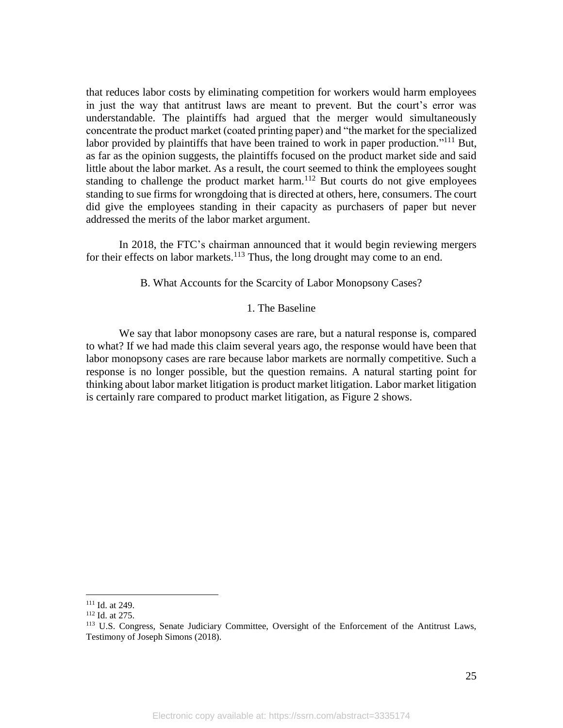that reduces labor costs by eliminating competition for workers would harm employees in just the way that antitrust laws are meant to prevent. But the court's error was understandable. The plaintiffs had argued that the merger would simultaneously concentrate the product market (coated printing paper) and "the market for the specialized labor provided by plaintiffs that have been trained to work in paper production."<sup>111</sup> But, as far as the opinion suggests, the plaintiffs focused on the product market side and said little about the labor market. As a result, the court seemed to think the employees sought standing to challenge the product market harm.<sup>112</sup> But courts do not give employees standing to sue firms for wrongdoing that is directed at others, here, consumers. The court did give the employees standing in their capacity as purchasers of paper but never addressed the merits of the labor market argument.

In 2018, the FTC's chairman announced that it would begin reviewing mergers for their effects on labor markets. $113$  Thus, the long drought may come to an end.

B. What Accounts for the Scarcity of Labor Monopsony Cases?

# 1. The Baseline

We say that labor monopsony cases are rare, but a natural response is, compared to what? If we had made this claim several years ago, the response would have been that labor monopsony cases are rare because labor markets are normally competitive. Such a response is no longer possible, but the question remains. A natural starting point for thinking about labor market litigation is product market litigation. Labor market litigation is certainly rare compared to product market litigation, as Figure 2 shows.

<sup>111</sup> Id. at 249.

<sup>112</sup> Id. at 275.

<sup>&</sup>lt;sup>113</sup> U.S. Congress, Senate Judiciary Committee, Oversight of the Enforcement of the Antitrust Laws, Testimony of Joseph Simons (2018).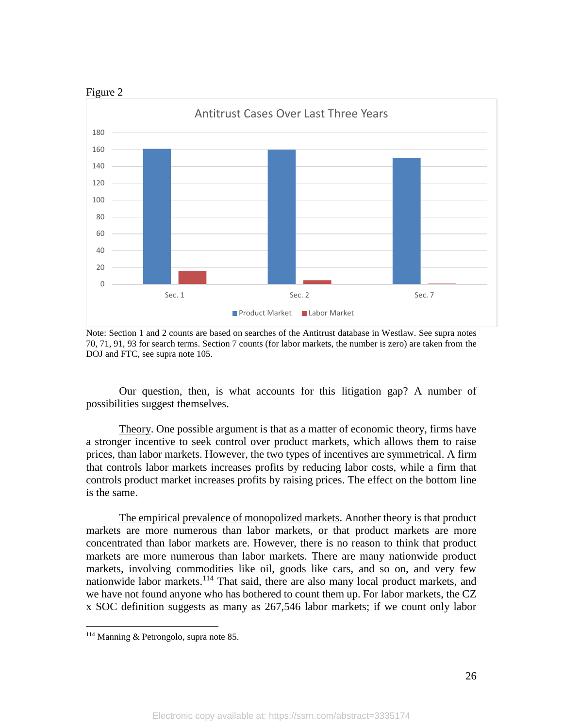

Note: Section 1 and 2 counts are based on searches of the Antitrust database in Westlaw. See supra notes 70, 71, 91, 93 for search terms. Section 7 counts (for labor markets, the number is zero) are taken from the DOJ and FTC, see supra note 105.

Our question, then, is what accounts for this litigation gap? A number of possibilities suggest themselves.

Theory. One possible argument is that as a matter of economic theory, firms have a stronger incentive to seek control over product markets, which allows them to raise prices, than labor markets. However, the two types of incentives are symmetrical. A firm that controls labor markets increases profits by reducing labor costs, while a firm that controls product market increases profits by raising prices. The effect on the bottom line is the same.

The empirical prevalence of monopolized markets. Another theory is that product markets are more numerous than labor markets, or that product markets are more concentrated than labor markets are. However, there is no reason to think that product markets are more numerous than labor markets. There are many nationwide product markets, involving commodities like oil, goods like cars, and so on, and very few nationwide labor markets. $114$  That said, there are also many local product markets, and we have not found anyone who has bothered to count them up. For labor markets, the CZ x SOC definition suggests as many as 267,546 labor markets; if we count only labor

<sup>114</sup> Manning & Petrongolo, supra note 85.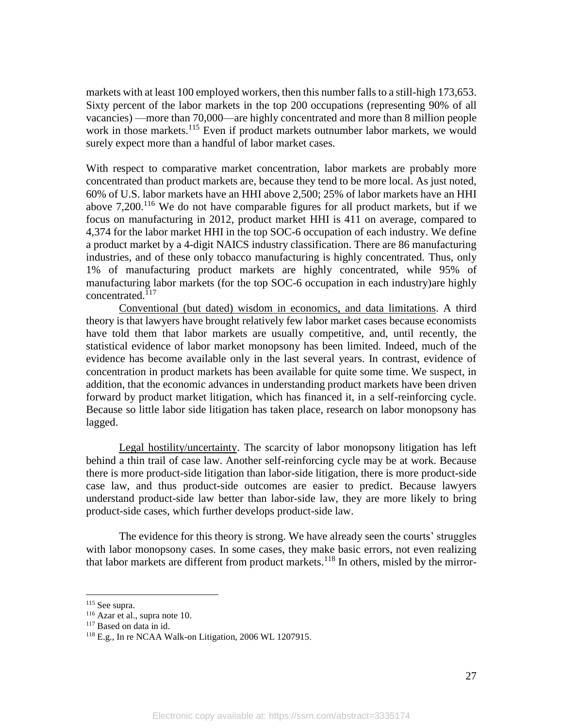markets with at least 100 employed workers, then this number falls to a still-high 173,653. Sixty percent of the labor markets in the top 200 occupations (representing 90% of all vacancies) —more than 70,000—are highly concentrated and more than 8 million people work in those markets.<sup>115</sup> Even if product markets outnumber labor markets, we would surely expect more than a handful of labor market cases.

With respect to comparative market concentration, labor markets are probably more concentrated than product markets are, because they tend to be more local. As just noted, 60% of U.S. labor markets have an HHI above 2,500; 25% of labor markets have an HHI above  $7,200$ .<sup>116</sup> We do not have comparable figures for all product markets, but if we focus on manufacturing in 2012, product market HHI is 411 on average, compared to 4,374 for the labor market HHI in the top SOC-6 occupation of each industry. We define a product market by a 4-digit NAICS industry classification. There are 86 manufacturing industries, and of these only tobacco manufacturing is highly concentrated. Thus, only 1% of manufacturing product markets are highly concentrated, while 95% of manufacturing labor markets (for the top SOC-6 occupation in each industry)are highly concentrated. 117

Conventional (but dated) wisdom in economics, and data limitations. A third theory is that lawyers have brought relatively few labor market cases because economists have told them that labor markets are usually competitive, and, until recently, the statistical evidence of labor market monopsony has been limited. Indeed, much of the evidence has become available only in the last several years. In contrast, evidence of concentration in product markets has been available for quite some time. We suspect, in addition, that the economic advances in understanding product markets have been driven forward by product market litigation, which has financed it, in a self-reinforcing cycle. Because so little labor side litigation has taken place, research on labor monopsony has lagged.

Legal hostility/uncertainty. The scarcity of labor monopsony litigation has left behind a thin trail of case law. Another self-reinforcing cycle may be at work. Because there is more product-side litigation than labor-side litigation, there is more product-side case law, and thus product-side outcomes are easier to predict. Because lawyers understand product-side law better than labor-side law, they are more likely to bring product-side cases, which further develops product-side law.

The evidence for this theory is strong. We have already seen the courts' struggles with labor monopsony cases. In some cases, they make basic errors, not even realizing that labor markets are different from product markets.<sup>118</sup> In others, misled by the mirror-

<sup>115</sup> See supra.

<sup>116</sup> Azar et al., supra note 10.

<sup>&</sup>lt;sup>117</sup> Based on data in id.

<sup>118</sup> E.g., In re NCAA Walk-on Litigation, 2006 WL 1207915.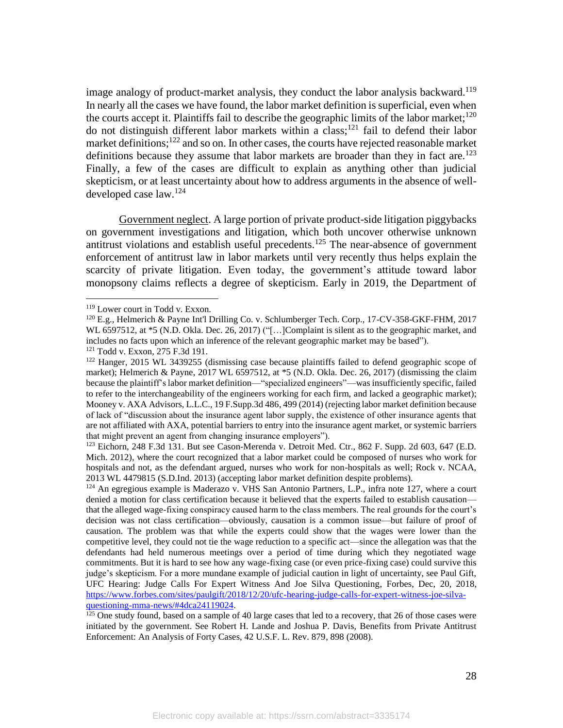image analogy of product-market analysis, they conduct the labor analysis backward.<sup>119</sup> In nearly all the cases we have found, the labor market definition is superficial, even when the courts accept it. Plaintiffs fail to describe the geographic limits of the labor market;<sup>120</sup> do not distinguish different labor markets within a class;<sup>121</sup> fail to defend their labor market definitions; $122$  and so on. In other cases, the courts have rejected reasonable market definitions because they assume that labor markets are broader than they in fact are.<sup>123</sup> Finally, a few of the cases are difficult to explain as anything other than judicial skepticism, or at least uncertainty about how to address arguments in the absence of welldeveloped case law. 124

Government neglect. A large portion of private product-side litigation piggybacks on government investigations and litigation, which both uncover otherwise unknown antitrust violations and establish useful precedents.<sup>125</sup> The near-absence of government enforcement of antitrust law in labor markets until very recently thus helps explain the scarcity of private litigation. Even today, the government's attitude toward labor monopsony claims reflects a degree of skepticism. Early in 2019, the Department of

<sup>119</sup> Lower court in Todd v. Exxon.

<sup>120</sup> E.g., Helmerich & Payne Int'l Drilling Co. v. Schlumberger Tech. Corp., 17-CV-358-GKF-FHM, 2017 WL 6597512, at  $*5$  (N.D. Okla. Dec. 26, 2017) ("[...] Complaint is silent as to the geographic market, and includes no facts upon which an inference of the relevant geographic market may be based").

<sup>121</sup> Todd v. Exxon, 275 F.3d 191.

<sup>&</sup>lt;sup>122</sup> Hanger, 2015 WL 3439255 (dismissing case because plaintiffs failed to defend geographic scope of market); Helmerich & Payne, 2017 WL 6597512, at \*5 (N.D. Okla. Dec. 26, 2017) (dismissing the claim because the plaintiff's labor market definition—"specialized engineers"—was insufficiently specific, failed to refer to the interchangeability of the engineers working for each firm, and lacked a geographic market); Mooney v. AXA Advisors, L.L.C., 19 F.Supp.3d 486, 499 (2014) (rejecting labor market definition because of lack of "discussion about the insurance agent labor supply, the existence of other insurance agents that are not affiliated with AXA, potential barriers to entry into the insurance agent market, or systemic barriers that might prevent an agent from changing insurance employers").

<sup>&</sup>lt;sup>123</sup> Eichorn, 248 F.3d 131. But see Cason-Merenda v. Detroit Med. Ctr., 862 F. Supp. 2d 603, 647 (E.D. Mich. 2012), where the court recognized that a labor market could be composed of nurses who work for hospitals and not, as the defendant argued, nurses who work for non-hospitals as well; Rock v. NCAA, 2013 WL 4479815 (S.D.Ind. 2013) (accepting labor market definition despite problems).

 $124$  An egregious example is Maderazo v. VHS San Antonio Partners, L.P., infra note 127, where a court denied a motion for class certification because it believed that the experts failed to establish causation that the alleged wage-fixing conspiracy caused harm to the class members. The real grounds for the court's decision was not class certification—obviously, causation is a common issue—but failure of proof of causation. The problem was that while the experts could show that the wages were lower than the competitive level, they could not tie the wage reduction to a specific act—since the allegation was that the defendants had held numerous meetings over a period of time during which they negotiated wage commitments. But it is hard to see how any wage-fixing case (or even price-fixing case) could survive this judge's skepticism. For a more mundane example of judicial caution in light of uncertainty, see Paul Gift, UFC Hearing: Judge Calls For Expert Witness And Joe Silva Questioning, Forbes, Dec, 20, 2018, https://www.forbes.com/sites/paulgift/2018/12/20/ufc-hearing-judge-calls-for-expert-witness-joe-silvaquestioning-mma-news/#4dca24119024.

 $125$  One study found, based on a sample of 40 large cases that led to a recovery, that 26 of those cases were initiated by the government. See Robert H. Lande and Joshua P. Davis, Benefits from Private Antitrust Enforcement: An Analysis of Forty Cases, 42 U.S.F. L. Rev. 879, 898 (2008).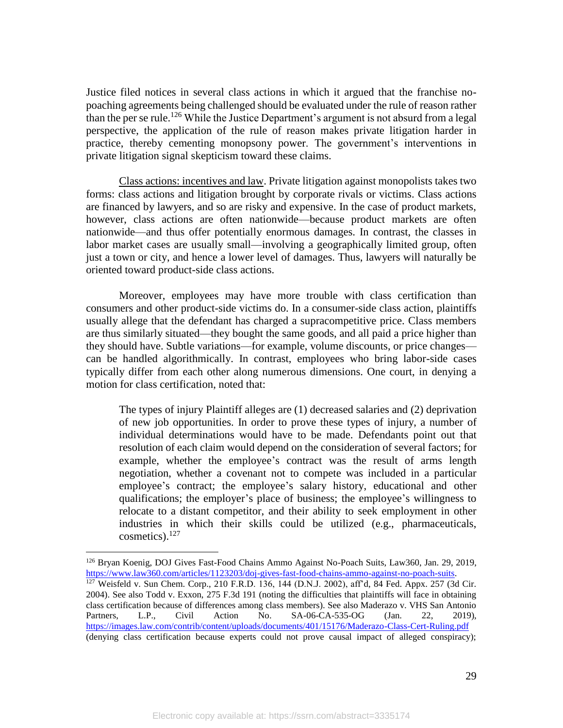Justice filed notices in several class actions in which it argued that the franchise nopoaching agreements being challenged should be evaluated under the rule of reason rather than the per se rule.<sup>126</sup> While the Justice Department's argument is not absurd from a legal perspective, the application of the rule of reason makes private litigation harder in practice, thereby cementing monopsony power. The government's interventions in private litigation signal skepticism toward these claims.

Class actions: incentives and law. Private litigation against monopolists takes two forms: class actions and litigation brought by corporate rivals or victims. Class actions are financed by lawyers, and so are risky and expensive. In the case of product markets, however, class actions are often nationwide—because product markets are often nationwide—and thus offer potentially enormous damages. In contrast, the classes in labor market cases are usually small—involving a geographically limited group, often just a town or city, and hence a lower level of damages. Thus, lawyers will naturally be oriented toward product-side class actions.

Moreover, employees may have more trouble with class certification than consumers and other product-side victims do. In a consumer-side class action, plaintiffs usually allege that the defendant has charged a supracompetitive price. Class members are thus similarly situated—they bought the same goods, and all paid a price higher than they should have. Subtle variations—for example, volume discounts, or price changes can be handled algorithmically. In contrast, employees who bring labor-side cases typically differ from each other along numerous dimensions. One court, in denying a motion for class certification, noted that:

The types of injury Plaintiff alleges are (1) decreased salaries and (2) deprivation of new job opportunities. In order to prove these types of injury, a number of individual determinations would have to be made. Defendants point out that resolution of each claim would depend on the consideration of several factors; for example, whether the employee's contract was the result of arms length negotiation, whether a covenant not to compete was included in a particular employee's contract; the employee's salary history, educational and other qualifications; the employer's place of business; the employee's willingness to relocate to a distant competitor, and their ability to seek employment in other industries in which their skills could be utilized (e.g., pharmaceuticals, cosmetics).<sup>127</sup>

<sup>126</sup> Bryan Koenig, DOJ Gives Fast-Food Chains Ammo Against No-Poach Suits, Law360, Jan. 29, 2019, https://www.law360.com/articles/1123203/doj-gives-fast-food-chains-ammo-against-no-poach-suits.

<sup>127</sup> Weisfeld v. Sun Chem. Corp., 210 F.R.D. 136, 144 (D.N.J. 2002), aff'd, 84 Fed. Appx. 257 (3d Cir. 2004). See also Todd v. Exxon, 275 F.3d 191 (noting the difficulties that plaintiffs will face in obtaining class certification because of differences among class members). See also Maderazo v. VHS San Antonio Partners, L.P., Civil Action No. SA-06-CA-535-OG (Jan. 22, 2019), https://images.law.com/contrib/content/uploads/documents/401/15176/Maderazo-Class-Cert-Ruling.pdf (denying class certification because experts could not prove causal impact of alleged conspiracy);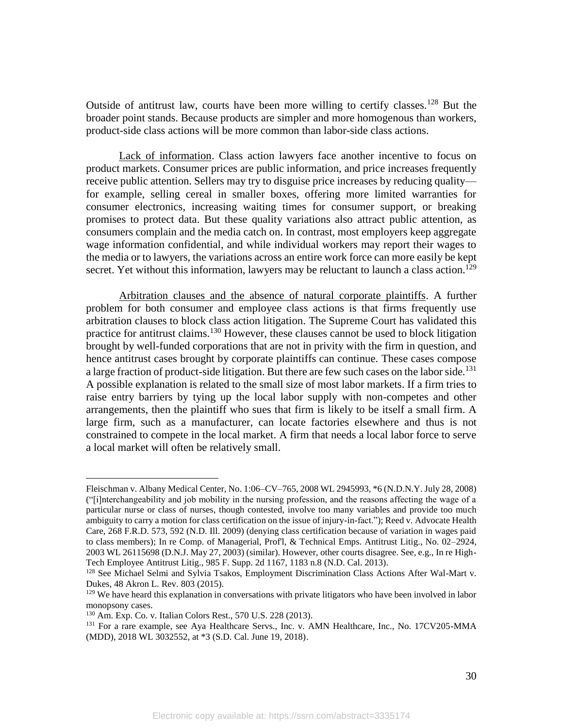Outside of antitrust law, courts have been more willing to certify classes.<sup>128</sup> But the broader point stands. Because products are simpler and more homogenous than workers, product-side class actions will be more common than labor-side class actions.

Lack of information. Class action lawyers face another incentive to focus on product markets. Consumer prices are public information, and price increases frequently receive public attention. Sellers may try to disguise price increases by reducing quality for example, selling cereal in smaller boxes, offering more limited warranties for consumer electronics, increasing waiting times for consumer support, or breaking promises to protect data. But these quality variations also attract public attention, as consumers complain and the media catch on. In contrast, most employers keep aggregate wage information confidential, and while individual workers may report their wages to the media or to lawyers, the variations across an entire work force can more easily be kept secret. Yet without this information, lawyers may be reluctant to launch a class action.<sup>129</sup>

Arbitration clauses and the absence of natural corporate plaintiffs. A further problem for both consumer and employee class actions is that firms frequently use arbitration clauses to block class action litigation. The Supreme Court has validated this practice for antitrust claims.<sup>130</sup> However, these clauses cannot be used to block litigation brought by well-funded corporations that are not in privity with the firm in question, and hence antitrust cases brought by corporate plaintiffs can continue. These cases compose a large fraction of product-side litigation. But there are few such cases on the labor side.<sup>131</sup> A possible explanation is related to the small size of most labor markets. If a firm tries to raise entry barriers by tying up the local labor supply with non-competes and other arrangements, then the plaintiff who sues that firm is likely to be itself a small firm. A large firm, such as a manufacturer, can locate factories elsewhere and thus is not constrained to compete in the local market. A firm that needs a local labor force to serve a local market will often be relatively small.

Fleischman v. Albany Medical Center, No. 1:06–CV–765, 2008 WL 2945993, \*6 (N.D.N.Y. July 28, 2008) ("[i]nterchangeability and job mobility in the nursing profession, and the reasons affecting the wage of a particular nurse or class of nurses, though contested, involve too many variables and provide too much ambiguity to carry a motion for class certification on the issue of injury-in-fact."); Reed v. Advocate Health Care, 268 F.R.D. 573, 592 (N.D. Ill. 2009) (denying class certification because of variation in wages paid to class members); In re Comp. of Managerial, Prof'l, & Technical Emps. Antitrust Litig., No. 02–2924, 2003 WL 26115698 (D.N.J. May 27, 2003) (similar). However, other courts disagree. See, e.g., In re High-Tech Employee Antitrust Litig., 985 F. Supp. 2d 1167, 1183 n.8 (N.D. Cal. 2013).

<sup>&</sup>lt;sup>128</sup> See Michael Selmi and Sylvia Tsakos, Employment Discrimination Class Actions After Wal-Mart v. Dukes, 48 Akron L. Rev. 803 (2015).

<sup>&</sup>lt;sup>129</sup> We have heard this explanation in conversations with private litigators who have been involved in labor monopsony cases.

<sup>130</sup> Am. Exp. Co. v. Italian Colors Rest., 570 U.S. 228 (2013).

<sup>&</sup>lt;sup>131</sup> For a rare example, see Aya Healthcare Servs., Inc. v. AMN Healthcare, Inc., No. 17CV205-MMA (MDD), 2018 WL 3032552, at \*3 (S.D. Cal. June 19, 2018).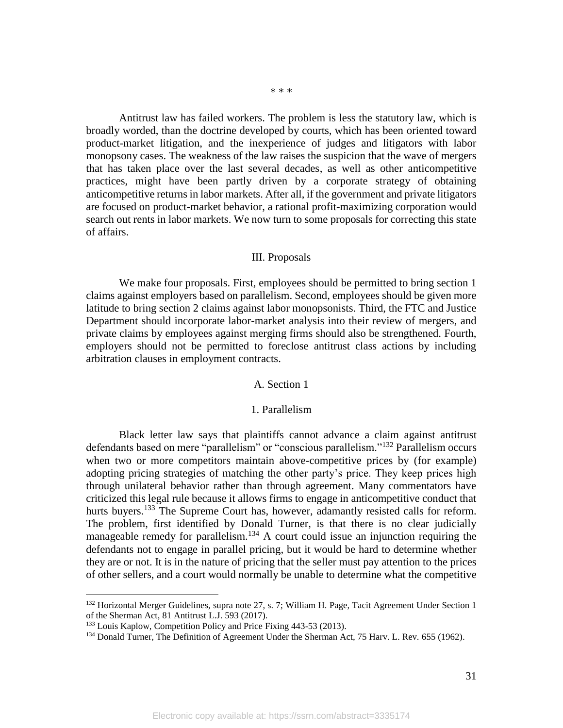\* \* \*

Antitrust law has failed workers. The problem is less the statutory law, which is broadly worded, than the doctrine developed by courts, which has been oriented toward product-market litigation, and the inexperience of judges and litigators with labor monopsony cases. The weakness of the law raises the suspicion that the wave of mergers that has taken place over the last several decades, as well as other anticompetitive practices, might have been partly driven by a corporate strategy of obtaining anticompetitive returns in labor markets. After all, if the government and private litigators are focused on product-market behavior, a rational profit-maximizing corporation would search out rents in labor markets. We now turn to some proposals for correcting this state of affairs.

### III. Proposals

We make four proposals. First, employees should be permitted to bring section 1 claims against employers based on parallelism. Second, employees should be given more latitude to bring section 2 claims against labor monopsonists. Third, the FTC and Justice Department should incorporate labor-market analysis into their review of mergers, and private claims by employees against merging firms should also be strengthened. Fourth, employers should not be permitted to foreclose antitrust class actions by including arbitration clauses in employment contracts.

## A. Section 1

### 1. Parallelism

Black letter law says that plaintiffs cannot advance a claim against antitrust defendants based on mere "parallelism" or "conscious parallelism."<sup>132</sup> Parallelism occurs when two or more competitors maintain above-competitive prices by (for example) adopting pricing strategies of matching the other party's price. They keep prices high through unilateral behavior rather than through agreement. Many commentators have criticized this legal rule because it allows firms to engage in anticompetitive conduct that hurts buyers.<sup>133</sup> The Supreme Court has, however, adamantly resisted calls for reform. The problem, first identified by Donald Turner, is that there is no clear judicially manageable remedy for parallelism.<sup>134</sup> A court could issue an injunction requiring the defendants not to engage in parallel pricing, but it would be hard to determine whether they are or not. It is in the nature of pricing that the seller must pay attention to the prices of other sellers, and a court would normally be unable to determine what the competitive

<sup>&</sup>lt;sup>132</sup> Horizontal Merger Guidelines, supra note 27, s. 7; William H. Page, Tacit Agreement Under Section 1 of the Sherman Act, 81 Antitrust L.J. 593 (2017).

<sup>133</sup> Louis Kaplow, Competition Policy and Price Fixing 443-53 (2013).

<sup>&</sup>lt;sup>134</sup> Donald Turner, The Definition of Agreement Under the Sherman Act, 75 Harv. L. Rev. 655 (1962).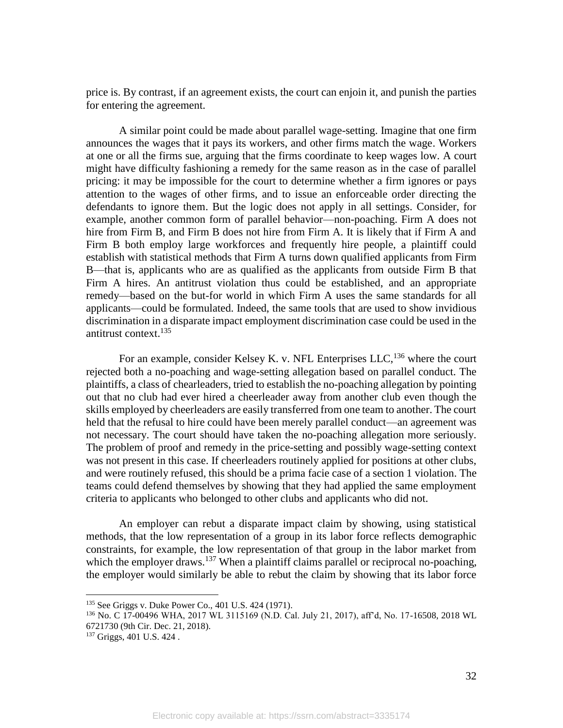price is. By contrast, if an agreement exists, the court can enjoin it, and punish the parties for entering the agreement.

A similar point could be made about parallel wage-setting. Imagine that one firm announces the wages that it pays its workers, and other firms match the wage. Workers at one or all the firms sue, arguing that the firms coordinate to keep wages low. A court might have difficulty fashioning a remedy for the same reason as in the case of parallel pricing: it may be impossible for the court to determine whether a firm ignores or pays attention to the wages of other firms, and to issue an enforceable order directing the defendants to ignore them. But the logic does not apply in all settings. Consider, for example, another common form of parallel behavior—non-poaching. Firm A does not hire from Firm B, and Firm B does not hire from Firm A. It is likely that if Firm A and Firm B both employ large workforces and frequently hire people, a plaintiff could establish with statistical methods that Firm A turns down qualified applicants from Firm B—that is, applicants who are as qualified as the applicants from outside Firm B that Firm A hires. An antitrust violation thus could be established, and an appropriate remedy—based on the but-for world in which Firm A uses the same standards for all applicants—could be formulated. Indeed, the same tools that are used to show invidious discrimination in a disparate impact employment discrimination case could be used in the antitrust context.<sup>135</sup>

For an example, consider Kelsey K. v. NFL Enterprises LLC,<sup>136</sup> where the court rejected both a no-poaching and wage-setting allegation based on parallel conduct. The plaintiffs, a class of chearleaders, tried to establish the no-poaching allegation by pointing out that no club had ever hired a cheerleader away from another club even though the skills employed by cheerleaders are easily transferred from one team to another. The court held that the refusal to hire could have been merely parallel conduct—an agreement was not necessary. The court should have taken the no-poaching allegation more seriously. The problem of proof and remedy in the price-setting and possibly wage-setting context was not present in this case. If cheerleaders routinely applied for positions at other clubs, and were routinely refused, this should be a prima facie case of a section 1 violation. The teams could defend themselves by showing that they had applied the same employment criteria to applicants who belonged to other clubs and applicants who did not.

An employer can rebut a disparate impact claim by showing, using statistical methods, that the low representation of a group in its labor force reflects demographic constraints, for example, the low representation of that group in the labor market from which the employer draws.<sup>137</sup> When a plaintiff claims parallel or reciprocal no-poaching, the employer would similarly be able to rebut the claim by showing that its labor force

<sup>135</sup> See Griggs v. Duke Power Co., 401 U.S. 424 (1971).

<sup>136</sup> No. C 17-00496 WHA, 2017 WL 3115169 (N.D. Cal. July 21, 2017), aff'd, No. 17-16508, 2018 WL 6721730 (9th Cir. Dec. 21, 2018).

<sup>137</sup> Griggs, 401 U.S. 424 .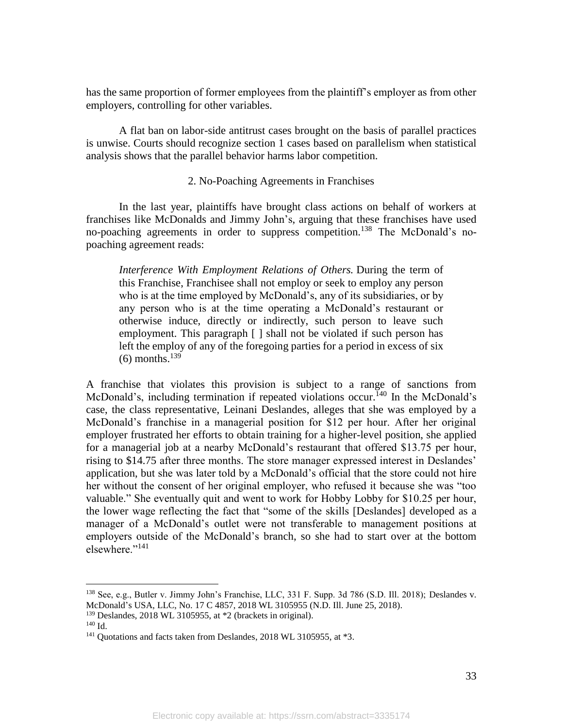has the same proportion of former employees from the plaintiff's employer as from other employers, controlling for other variables.

A flat ban on labor-side antitrust cases brought on the basis of parallel practices is unwise. Courts should recognize section 1 cases based on parallelism when statistical analysis shows that the parallel behavior harms labor competition.

## 2. No-Poaching Agreements in Franchises

In the last year, plaintiffs have brought class actions on behalf of workers at franchises like McDonalds and Jimmy John's, arguing that these franchises have used no-poaching agreements in order to suppress competition.<sup>138</sup> The McDonald's nopoaching agreement reads:

*Interference With Employment Relations of Others.* During the term of this Franchise, Franchisee shall not employ or seek to employ any person who is at the time employed by McDonald's, any of its subsidiaries, or by any person who is at the time operating a McDonald's restaurant or otherwise induce, directly or indirectly, such person to leave such employment. This paragraph [ ] shall not be violated if such person has left the employ of any of the foregoing parties for a period in excess of six  $(6)$  months.<sup>139</sup>

A franchise that violates this provision is subject to a range of sanctions from McDonald's, including termination if repeated violations occur.<sup>140</sup> In the McDonald's case, the class representative, Leinani Deslandes, alleges that she was employed by a McDonald's franchise in a managerial position for \$12 per hour. After her original employer frustrated her efforts to obtain training for a higher-level position, she applied for a managerial job at a nearby McDonald's restaurant that offered \$13.75 per hour, rising to \$14.75 after three months. The store manager expressed interest in Deslandes' application, but she was later told by a McDonald's official that the store could not hire her without the consent of her original employer, who refused it because she was "too valuable." She eventually quit and went to work for Hobby Lobby for \$10.25 per hour, the lower wage reflecting the fact that "some of the skills [Deslandes] developed as a manager of a McDonald's outlet were not transferable to management positions at employers outside of the McDonald's branch, so she had to start over at the bottom elsewhere."<sup>141</sup>

<sup>139</sup> Deslandes, 2018 WL 3105955, at \*2 (brackets in original).

<sup>138</sup> See, e.g., Butler v. Jimmy John's Franchise, LLC, 331 F. Supp. 3d 786 (S.D. Ill. 2018); Deslandes v. McDonald's USA, LLC, No. 17 C 4857, 2018 WL 3105955 (N.D. Ill. June 25, 2018).

<sup>140</sup> Id.

<sup>&</sup>lt;sup>141</sup> Quotations and facts taken from Deslandes, 2018 WL 3105955, at \*3.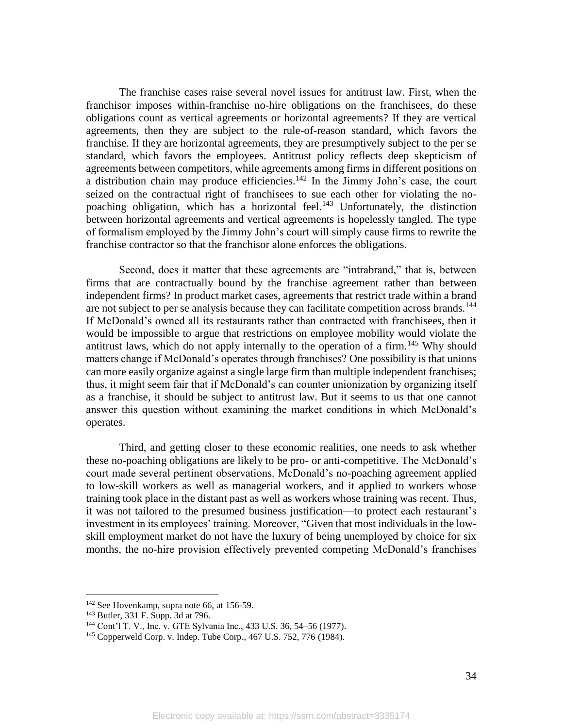The franchise cases raise several novel issues for antitrust law. First, when the franchisor imposes within-franchise no-hire obligations on the franchisees, do these obligations count as vertical agreements or horizontal agreements? If they are vertical agreements, then they are subject to the rule-of-reason standard, which favors the franchise. If they are horizontal agreements, they are presumptively subject to the per se standard, which favors the employees. Antitrust policy reflects deep skepticism of agreements between competitors, while agreements among firms in different positions on a distribution chain may produce efficiencies.<sup>142</sup> In the Jimmy John's case, the court seized on the contractual right of franchisees to sue each other for violating the nopoaching obligation, which has a horizontal feel.<sup>143</sup> Unfortunately, the distinction between horizontal agreements and vertical agreements is hopelessly tangled. The type of formalism employed by the Jimmy John's court will simply cause firms to rewrite the franchise contractor so that the franchisor alone enforces the obligations.

Second, does it matter that these agreements are "intrabrand," that is, between firms that are contractually bound by the franchise agreement rather than between independent firms? In product market cases, agreements that restrict trade within a brand are not subject to per se analysis because they can facilitate competition across brands.<sup>144</sup> If McDonald's owned all its restaurants rather than contracted with franchisees, then it would be impossible to argue that restrictions on employee mobility would violate the antitrust laws, which do not apply internally to the operation of a firm.<sup>145</sup> Why should matters change if McDonald's operates through franchises? One possibility is that unions can more easily organize against a single large firm than multiple independent franchises; thus, it might seem fair that if McDonald's can counter unionization by organizing itself as a franchise, it should be subject to antitrust law. But it seems to us that one cannot answer this question without examining the market conditions in which McDonald's operates.

Third, and getting closer to these economic realities, one needs to ask whether these no-poaching obligations are likely to be pro- or anti-competitive. The McDonald's court made several pertinent observations. McDonald's no-poaching agreement applied to low-skill workers as well as managerial workers, and it applied to workers whose training took place in the distant past as well as workers whose training was recent. Thus, it was not tailored to the presumed business justification—to protect each restaurant's investment in its employees' training. Moreover, "Given that most individuals in the lowskill employment market do not have the luxury of being unemployed by choice for six months, the no-hire provision effectively prevented competing McDonald's franchises

<sup>&</sup>lt;sup>142</sup> See Hovenkamp, supra note 66, at 156-59.

<sup>143</sup> Butler, 331 F. Supp. 3d at 796.

<sup>144</sup> Cont'l T. V., Inc. v. GTE Sylvania Inc., 433 U.S. 36, 54–56 (1977).

<sup>145</sup> Copperweld Corp. v. Indep. Tube Corp., 467 U.S. 752, 776 (1984).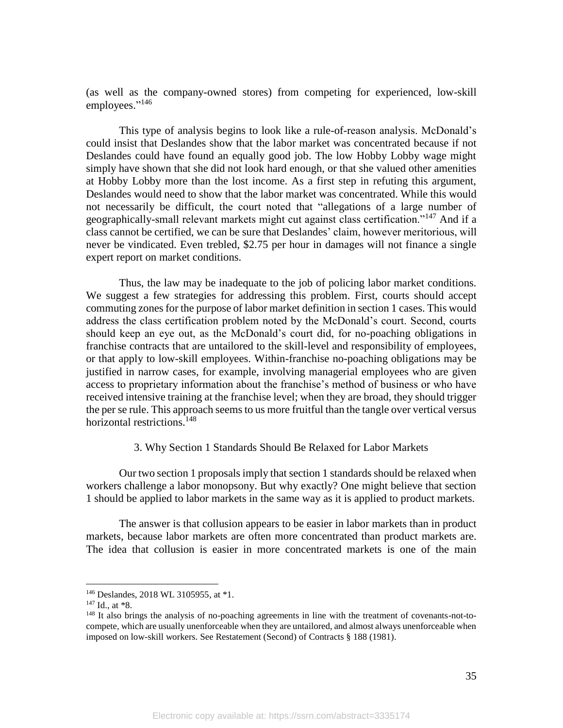(as well as the company-owned stores) from competing for experienced, low-skill employees."<sup>146</sup>

This type of analysis begins to look like a rule-of-reason analysis. McDonald's could insist that Deslandes show that the labor market was concentrated because if not Deslandes could have found an equally good job. The low Hobby Lobby wage might simply have shown that she did not look hard enough, or that she valued other amenities at Hobby Lobby more than the lost income. As a first step in refuting this argument, Deslandes would need to show that the labor market was concentrated. While this would not necessarily be difficult, the court noted that "allegations of a large number of geographically-small relevant markets might cut against class certification."<sup>147</sup> And if a class cannot be certified, we can be sure that Deslandes' claim, however meritorious, will never be vindicated. Even trebled, \$2.75 per hour in damages will not finance a single expert report on market conditions.

Thus, the law may be inadequate to the job of policing labor market conditions. We suggest a few strategies for addressing this problem. First, courts should accept commuting zones for the purpose of labor market definition in section 1 cases. This would address the class certification problem noted by the McDonald's court. Second, courts should keep an eye out, as the McDonald's court did, for no-poaching obligations in franchise contracts that are untailored to the skill-level and responsibility of employees, or that apply to low-skill employees. Within-franchise no-poaching obligations may be justified in narrow cases, for example, involving managerial employees who are given access to proprietary information about the franchise's method of business or who have received intensive training at the franchise level; when they are broad, they should trigger the per se rule. This approach seems to us more fruitful than the tangle over vertical versus horizontal restrictions.<sup>148</sup>

## 3. Why Section 1 Standards Should Be Relaxed for Labor Markets

Our two section 1 proposals imply that section 1 standards should be relaxed when workers challenge a labor monopsony. But why exactly? One might believe that section 1 should be applied to labor markets in the same way as it is applied to product markets.

The answer is that collusion appears to be easier in labor markets than in product markets, because labor markets are often more concentrated than product markets are. The idea that collusion is easier in more concentrated markets is one of the main

<sup>146</sup> Deslandes, 2018 WL 3105955, at \*1.

<sup>147</sup> Id., at \*8.

<sup>&</sup>lt;sup>148</sup> It also brings the analysis of no-poaching agreements in line with the treatment of covenants-not-tocompete, which are usually unenforceable when they are untailored, and almost always unenforceable when imposed on low-skill workers. See Restatement (Second) of Contracts § 188 (1981).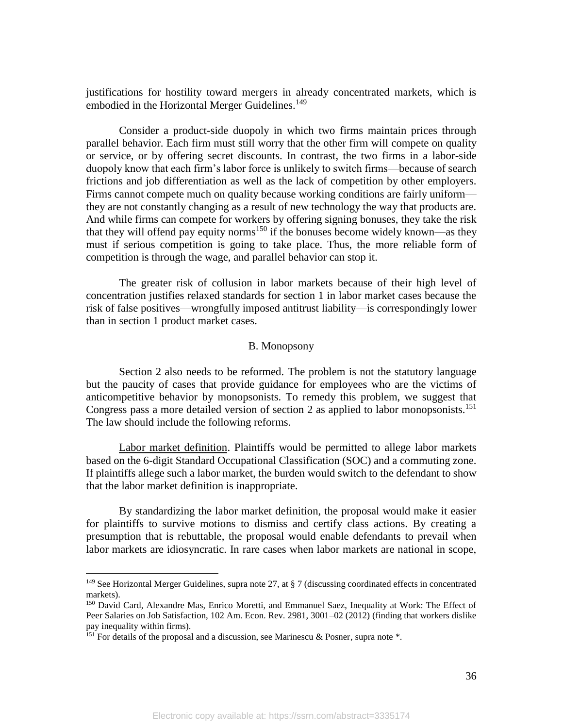justifications for hostility toward mergers in already concentrated markets, which is embodied in the Horizontal Merger Guidelines.<sup>149</sup>

Consider a product-side duopoly in which two firms maintain prices through parallel behavior. Each firm must still worry that the other firm will compete on quality or service, or by offering secret discounts. In contrast, the two firms in a labor-side duopoly know that each firm's labor force is unlikely to switch firms—because of search frictions and job differentiation as well as the lack of competition by other employers. Firms cannot compete much on quality because working conditions are fairly uniform they are not constantly changing as a result of new technology the way that products are. And while firms can compete for workers by offering signing bonuses, they take the risk that they will offend pay equity norms<sup>150</sup> if the bonuses become widely known—as they must if serious competition is going to take place. Thus, the more reliable form of competition is through the wage, and parallel behavior can stop it.

The greater risk of collusion in labor markets because of their high level of concentration justifies relaxed standards for section 1 in labor market cases because the risk of false positives—wrongfully imposed antitrust liability—is correspondingly lower than in section 1 product market cases.

### B. Monopsony

Section 2 also needs to be reformed. The problem is not the statutory language but the paucity of cases that provide guidance for employees who are the victims of anticompetitive behavior by monopsonists. To remedy this problem, we suggest that Congress pass a more detailed version of section 2 as applied to labor monopsonists.<sup>151</sup> The law should include the following reforms.

Labor market definition. Plaintiffs would be permitted to allege labor markets based on the 6-digit Standard Occupational Classification (SOC) and a commuting zone. If plaintiffs allege such a labor market, the burden would switch to the defendant to show that the labor market definition is inappropriate.

By standardizing the labor market definition, the proposal would make it easier for plaintiffs to survive motions to dismiss and certify class actions. By creating a presumption that is rebuttable, the proposal would enable defendants to prevail when labor markets are idiosyncratic. In rare cases when labor markets are national in scope,

<sup>&</sup>lt;sup>149</sup> See Horizontal Merger Guidelines, supra note 27, at  $\S 7$  (discussing coordinated effects in concentrated markets).

<sup>150</sup> David Card, Alexandre Mas, Enrico Moretti, and Emmanuel Saez, Inequality at Work: The Effect of Peer Salaries on Job Satisfaction, 102 Am. Econ. Rev. 2981, 3001–02 (2012) (finding that workers dislike pay inequality within firms).

<sup>&</sup>lt;sup>151</sup> For details of the proposal and a discussion, see Marinescu & Posner, supra note  $*$ .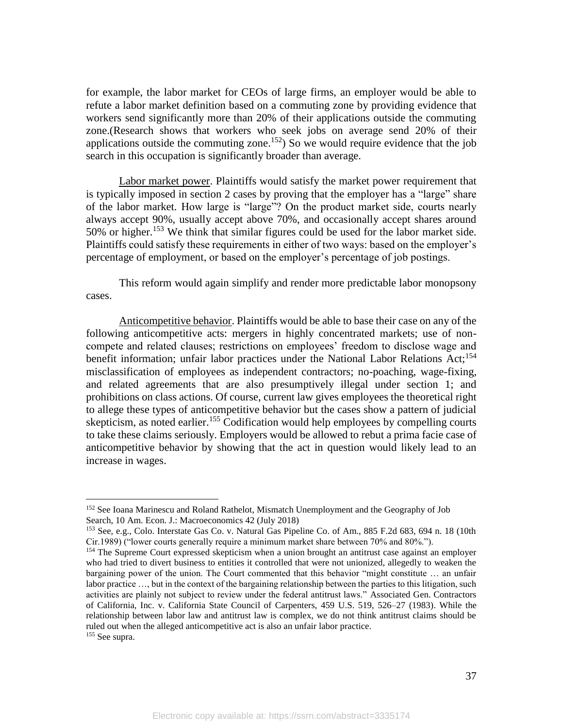for example, the labor market for CEOs of large firms, an employer would be able to refute a labor market definition based on a commuting zone by providing evidence that workers send significantly more than 20% of their applications outside the commuting zone.(Research shows that workers who seek jobs on average send 20% of their applications outside the commuting zone.<sup>152</sup>) So we would require evidence that the job search in this occupation is significantly broader than average.

Labor market power. Plaintiffs would satisfy the market power requirement that is typically imposed in section 2 cases by proving that the employer has a "large" share of the labor market. How large is "large"? On the product market side, courts nearly always accept 90%, usually accept above 70%, and occasionally accept shares around 50% or higher.<sup>153</sup> We think that similar figures could be used for the labor market side. Plaintiffs could satisfy these requirements in either of two ways: based on the employer's percentage of employment, or based on the employer's percentage of job postings.

This reform would again simplify and render more predictable labor monopsony cases.

Anticompetitive behavior. Plaintiffs would be able to base their case on any of the following anticompetitive acts: mergers in highly concentrated markets; use of noncompete and related clauses; restrictions on employees' freedom to disclose wage and benefit information; unfair labor practices under the National Labor Relations Act:<sup>154</sup> misclassification of employees as independent contractors; no-poaching, wage-fixing, and related agreements that are also presumptively illegal under section 1; and prohibitions on class actions. Of course, current law gives employees the theoretical right to allege these types of anticompetitive behavior but the cases show a pattern of judicial skepticism, as noted earlier.<sup>155</sup> Codification would help employees by compelling courts to take these claims seriously. Employers would be allowed to rebut a prima facie case of anticompetitive behavior by showing that the act in question would likely lead to an increase in wages.

<sup>&</sup>lt;sup>152</sup> See Ioana Marinescu and Roland Rathelot, Mismatch Unemployment and the Geography of Job Search, 10 Am. Econ. J.: Macroeconomics 42 (July 2018)

<sup>153</sup> See, e.g., Colo. Interstate Gas Co. v. Natural Gas Pipeline Co. of Am., 885 F.2d 683, 694 n. 18 (10th Cir.1989) ("lower courts generally require a minimum market share between 70% and 80%.").

<sup>&</sup>lt;sup>154</sup> The Supreme Court expressed skepticism when a union brought an antitrust case against an employer who had tried to divert business to entities it controlled that were not unionized, allegedly to weaken the bargaining power of the union. The Court commented that this behavior "might constitute … an unfair labor practice …, but in the context of the bargaining relationship between the parties to this litigation, such activities are plainly not subject to review under the federal antitrust laws." Associated Gen. Contractors of California, Inc. v. California State Council of Carpenters, 459 U.S. 519, 526–27 (1983). While the relationship between labor law and antitrust law is complex, we do not think antitrust claims should be ruled out when the alleged anticompetitive act is also an unfair labor practice.

<sup>155</sup> See supra.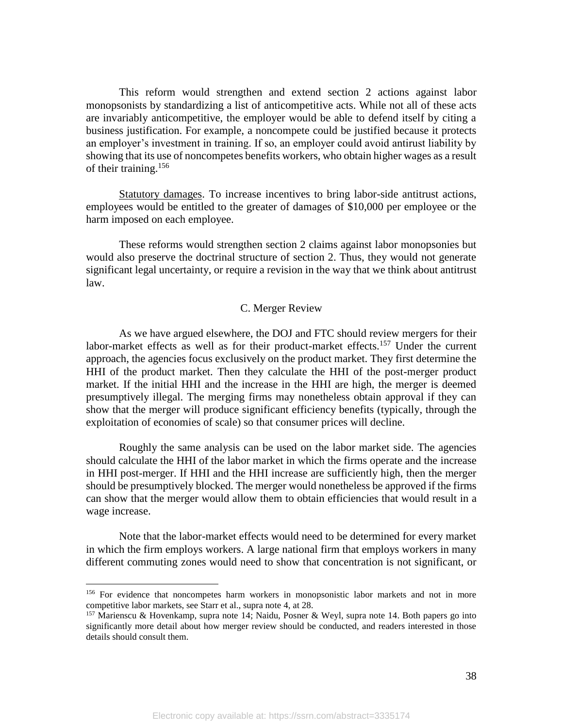This reform would strengthen and extend section 2 actions against labor monopsonists by standardizing a list of anticompetitive acts. While not all of these acts are invariably anticompetitive, the employer would be able to defend itself by citing a business justification. For example, a noncompete could be justified because it protects an employer's investment in training. If so, an employer could avoid antirust liability by showing that its use of noncompetes benefits workers, who obtain higher wages as a result of their training.<sup>156</sup>

Statutory damages. To increase incentives to bring labor-side antitrust actions, employees would be entitled to the greater of damages of \$10,000 per employee or the harm imposed on each employee.

These reforms would strengthen section 2 claims against labor monopsonies but would also preserve the doctrinal structure of section 2. Thus, they would not generate significant legal uncertainty, or require a revision in the way that we think about antitrust law.

## C. Merger Review

As we have argued elsewhere, the DOJ and FTC should review mergers for their labor-market effects as well as for their product-market effects.<sup>157</sup> Under the current approach, the agencies focus exclusively on the product market. They first determine the HHI of the product market. Then they calculate the HHI of the post-merger product market. If the initial HHI and the increase in the HHI are high, the merger is deemed presumptively illegal. The merging firms may nonetheless obtain approval if they can show that the merger will produce significant efficiency benefits (typically, through the exploitation of economies of scale) so that consumer prices will decline.

Roughly the same analysis can be used on the labor market side. The agencies should calculate the HHI of the labor market in which the firms operate and the increase in HHI post-merger. If HHI and the HHI increase are sufficiently high, then the merger should be presumptively blocked. The merger would nonetheless be approved if the firms can show that the merger would allow them to obtain efficiencies that would result in a wage increase.

Note that the labor-market effects would need to be determined for every market in which the firm employs workers. A large national firm that employs workers in many different commuting zones would need to show that concentration is not significant, or

<sup>&</sup>lt;sup>156</sup> For evidence that noncompetes harm workers in monopsonistic labor markets and not in more competitive labor markets, see Starr et al., supra note 4, at 28.

 $157$  Marienscu & Hovenkamp, supra note 14; Naidu, Posner & Weyl, supra note 14. Both papers go into significantly more detail about how merger review should be conducted, and readers interested in those details should consult them.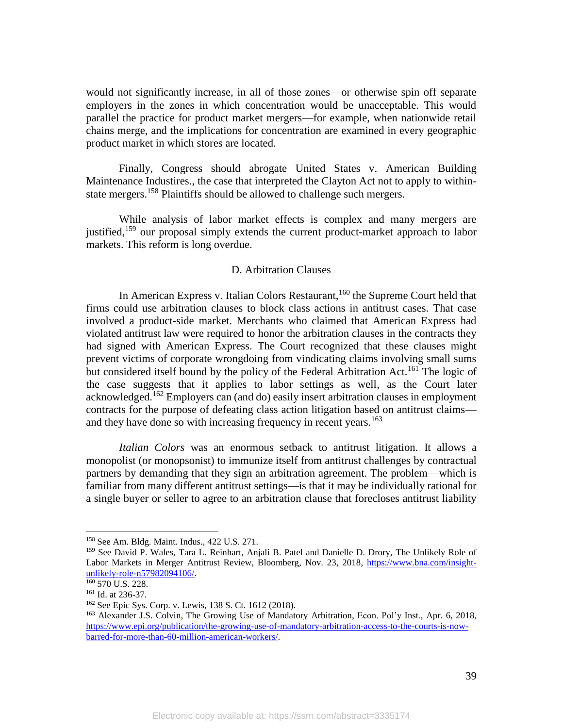would not significantly increase, in all of those zones—or otherwise spin off separate employers in the zones in which concentration would be unacceptable. This would parallel the practice for product market mergers—for example, when nationwide retail chains merge, and the implications for concentration are examined in every geographic product market in which stores are located.

Finally, Congress should abrogate United States v. American Building Maintenance Industires., the case that interpreted the Clayton Act not to apply to withinstate mergers.<sup>158</sup> Plaintiffs should be allowed to challenge such mergers.

While analysis of labor market effects is complex and many mergers are justified,<sup>159</sup> our proposal simply extends the current product-market approach to labor markets. This reform is long overdue.

## D. Arbitration Clauses

In American Express v. Italian Colors Restaurant,<sup>160</sup> the Supreme Court held that firms could use arbitration clauses to block class actions in antitrust cases. That case involved a product-side market. Merchants who claimed that American Express had violated antitrust law were required to honor the arbitration clauses in the contracts they had signed with American Express. The Court recognized that these clauses might prevent victims of corporate wrongdoing from vindicating claims involving small sums but considered itself bound by the policy of the Federal Arbitration Act.<sup>161</sup> The logic of the case suggests that it applies to labor settings as well, as the Court later acknowledged.<sup>162</sup> Employers can (and do) easily insert arbitration clauses in employment contracts for the purpose of defeating class action litigation based on antitrust claims and they have done so with increasing frequency in recent years.<sup>163</sup>

*Italian Colors* was an enormous setback to antitrust litigation. It allows a monopolist (or monopsonist) to immunize itself from antitrust challenges by contractual partners by demanding that they sign an arbitration agreement. The problem—which is familiar from many different antitrust settings—is that it may be individually rational for a single buyer or seller to agree to an arbitration clause that forecloses antitrust liability

<sup>158</sup> See Am. Bldg. Maint. Indus., 422 U.S. 271.

<sup>159</sup> See David P. Wales, Tara L. Reinhart, Anjali B. Patel and Danielle D. Drory, The Unlikely Role of Labor Markets in Merger Antitrust Review, Bloomberg, Nov. 23, 2018, https://www.bna.com/insightunlikely-role-n57982094106/.

 $160$  570 U.S. 228.

<sup>161</sup> Id. at 236-37.

<sup>162</sup> See Epic Sys. Corp. v. Lewis, 138 S. Ct. 1612 (2018).

<sup>163</sup> Alexander J.S. Colvin, The Growing Use of Mandatory Arbitration, Econ. Pol'y Inst., Apr. 6, 2018, https://www.epi.org/publication/the-growing-use-of-mandatory-arbitration-access-to-the-courts-is-nowbarred-for-more-than-60-million-american-workers/.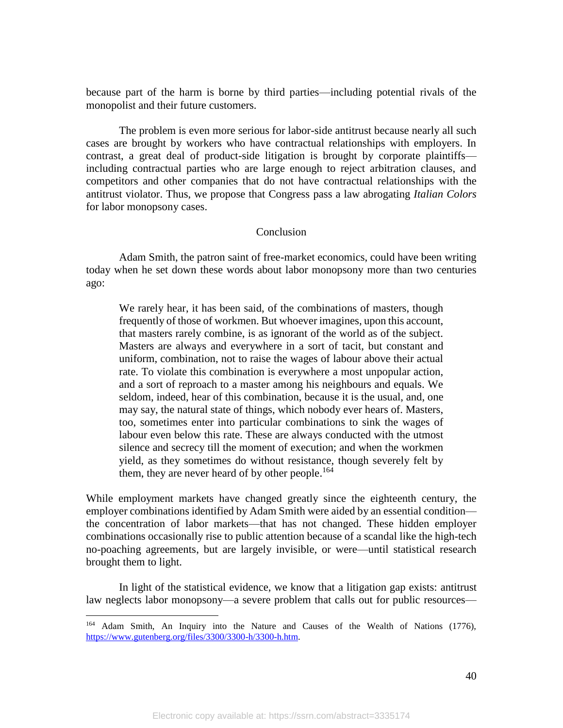because part of the harm is borne by third parties—including potential rivals of the monopolist and their future customers.

The problem is even more serious for labor-side antitrust because nearly all such cases are brought by workers who have contractual relationships with employers. In contrast, a great deal of product-side litigation is brought by corporate plaintiffs including contractual parties who are large enough to reject arbitration clauses, and competitors and other companies that do not have contractual relationships with the antitrust violator. Thus, we propose that Congress pass a law abrogating *Italian Colors* for labor monopsony cases.

## Conclusion

Adam Smith, the patron saint of free-market economics, could have been writing today when he set down these words about labor monopsony more than two centuries ago:

We rarely hear, it has been said, of the combinations of masters, though frequently of those of workmen. But whoever imagines, upon this account, that masters rarely combine, is as ignorant of the world as of the subject. Masters are always and everywhere in a sort of tacit, but constant and uniform, combination, not to raise the wages of labour above their actual rate. To violate this combination is everywhere a most unpopular action, and a sort of reproach to a master among his neighbours and equals. We seldom, indeed, hear of this combination, because it is the usual, and, one may say, the natural state of things, which nobody ever hears of. Masters, too, sometimes enter into particular combinations to sink the wages of labour even below this rate. These are always conducted with the utmost silence and secrecy till the moment of execution; and when the workmen yield, as they sometimes do without resistance, though severely felt by them, they are never heard of by other people.<sup>164</sup>

While employment markets have changed greatly since the eighteenth century, the employer combinations identified by Adam Smith were aided by an essential condition the concentration of labor markets—that has not changed. These hidden employer combinations occasionally rise to public attention because of a scandal like the high-tech no-poaching agreements, but are largely invisible, or were—until statistical research brought them to light.

In light of the statistical evidence, we know that a litigation gap exists: antitrust law neglects labor monopsony—a severe problem that calls out for public resources—

<sup>164</sup> Adam Smith, An Inquiry into the Nature and Causes of the Wealth of Nations (1776), https://www.gutenberg.org/files/3300/3300-h/3300-h.htm.